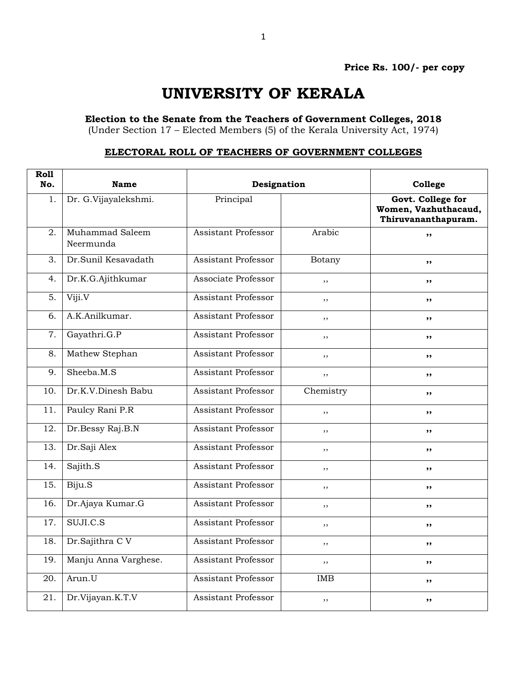## **UNIVERSITY OF KERALA**

**Election to the Senate from the Teachers of Government Colleges, 2018**

(Under Section 17 – Elected Members (5) of the Kerala University Act, 1974)

## **ELECTORAL ROLL OF TEACHERS OF GOVERNMENT COLLEGES**

| <b>Roll</b><br>No. | <b>Name</b>                  | Designation                |           | College                                                          |
|--------------------|------------------------------|----------------------------|-----------|------------------------------------------------------------------|
| 1.                 | Dr. G.Vijayalekshmi.         | Principal                  |           | Govt. College for<br>Women, Vazhuthacaud,<br>Thiruvananthapuram. |
| 2.                 | Muhammad Saleem<br>Neermunda | <b>Assistant Professor</b> | Arabic    | ,,                                                               |
| 3.                 | Dr.Sunil Kesavadath          | <b>Assistant Professor</b> | Botany    | $, \,$                                                           |
| 4.                 | Dr.K.G.Ajithkumar            | Associate Professor        | ,,        | ,,                                                               |
| $\overline{5}$ .   | Viji.V                       | <b>Assistant Professor</b> | ,,        | ,,                                                               |
| 6.                 | A.K.Anilkumar.               | <b>Assistant Professor</b> | ,,        | $, \,$                                                           |
| 7.                 | Gayathri.G.P                 | <b>Assistant Professor</b> | ,,        | ,,                                                               |
| 8.                 | Mathew Stephan               | <b>Assistant Professor</b> | ,,        | ,,                                                               |
| 9.                 | Sheeba.M.S                   | <b>Assistant Professor</b> | ,,        | ,,                                                               |
| 10.                | Dr.K.V.Dinesh Babu           | <b>Assistant Professor</b> | Chemistry | ,,                                                               |
| 11.                | Paulcy Rani P.R              | <b>Assistant Professor</b> | ,,        | ,,                                                               |
| 12.                | Dr.Bessy Raj.B.N             | <b>Assistant Professor</b> | $, \,$    | ,,                                                               |
| $\overline{13}$ .  | Dr.Saji Alex                 | <b>Assistant Professor</b> | , ,       | ,,                                                               |
| 14.                | Sajith.S                     | <b>Assistant Professor</b> | ,,        | ,,                                                               |
| 15.                | Biju.S                       | <b>Assistant Professor</b> | $, \,$    | ,,                                                               |
| 16.                | Dr.Ajaya Kumar.G             | Assistant Professor        | ,,        | , ,                                                              |
| 17.                | SUJI.C.S                     | Assistant Professor        | ,,        | ,,                                                               |
| 18.                | Dr.Sajithra C V              | <b>Assistant Professor</b> | , ,       | $, \,$                                                           |
| 19.                | Manju Anna Varghese.         | Assistant Professor        | ,,        | $, \,$                                                           |
| 20.                | Arun.U                       | <b>Assistant Professor</b> | IMB       | ,,                                                               |
| 21.                | Dr.Vijayan.K.T.V             | <b>Assistant Professor</b> | ,,        | ,,                                                               |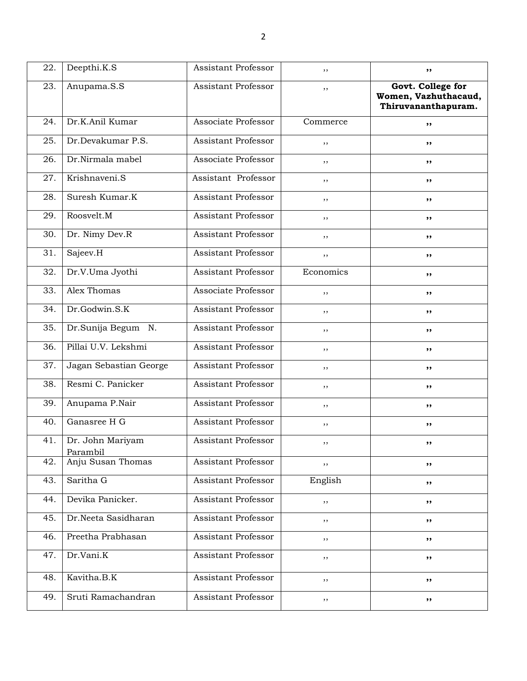| 22. | Deepthi.K.S                  | Assistant Professor        | ,,        | ,,                                                               |
|-----|------------------------------|----------------------------|-----------|------------------------------------------------------------------|
| 23. | Anupama.S.S                  | Assistant Professor        | ,,        | Govt. College for<br>Women, Vazhuthacaud,<br>Thiruvananthapuram. |
| 24. | Dr.K.Anil Kumar              | Associate Professor        | Commerce  | ,,                                                               |
| 25. | Dr.Devakumar P.S.            | Assistant Professor        | ,,        | ,,                                                               |
| 26. | Dr.Nirmala mabel             | Associate Professor        | ,,        | ,,                                                               |
| 27. | Krishnaveni.S                | Assistant Professor        | ,,        | ,,                                                               |
| 28. | Suresh Kumar.K               | Assistant Professor        | , ,       | $, \,$                                                           |
| 29. | Roosvelt.M                   | Assistant Professor        | ,,        | ,,                                                               |
| 30. | Dr. Nimy Dev.R               | Assistant Professor        | $, \,$    | ,,                                                               |
| 31. | Sajeev.H                     | Assistant Professor        | ,,        | ,,                                                               |
| 32. | Dr.V.Uma Jyothi              | Assistant Professor        | Economics | $, \, \cdot$                                                     |
| 33. | Alex Thomas                  | Associate Professor        | ,,        | ,,                                                               |
| 34. | Dr.Godwin.S.K                | Assistant Professor        | $, \,$    | $, \, \cdot$                                                     |
| 35. | Dr.Sunija Begum N.           | Assistant Professor        | ,,        | ,,                                                               |
| 36. | Pillai U.V. Lekshmi          | Assistant Professor        | ,,        | ,,                                                               |
| 37. | Jagan Sebastian George       | Assistant Professor        | ,,        | ,,                                                               |
| 38. | Resmi C. Panicker            | Assistant Professor        | ,,        | ,,                                                               |
| 39. | Anupama P.Nair               | Assistant Professor        | ,,        | ,,                                                               |
| 40. | Ganasree H G                 | Assistant Professor        | , ,       | $, \, \cdot$                                                     |
| 41. | Dr. John Mariyam<br>Parambil | Assistant Professor        | , ,       | ,,                                                               |
| 42. | Anju Susan Thomas            | Assistant Professor        | ,,        | ,,                                                               |
| 43. | Saritha G                    | <b>Assistant Professor</b> | English   | ,,                                                               |
| 44. | Devika Panicker.             | Assistant Professor        | $, \,$    | ,,                                                               |
| 45. | Dr.Neeta Sasidharan          | Assistant Professor        | $, \,$    | ,,                                                               |
| 46. | Preetha Prabhasan            | Assistant Professor        | , ,       | ,,                                                               |
| 47. | Dr.Vani.K                    | Assistant Professor        | $, \,$    | $, \,$                                                           |
| 48. | Kavitha.B.K                  | Assistant Professor        | $, \,$    | $, \, \,$                                                        |
| 49. | Sruti Ramachandran           | Assistant Professor        | $, \,$    | ,,                                                               |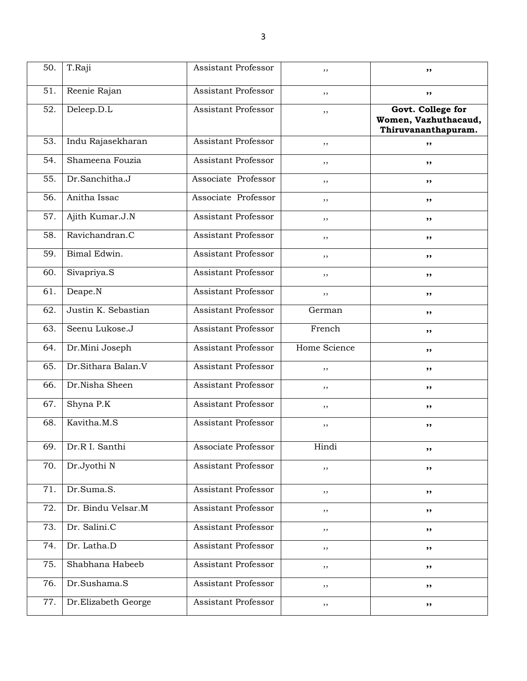| 50. | T.Raji              | Assistant Professor        | ,,           | ,,                                                               |
|-----|---------------------|----------------------------|--------------|------------------------------------------------------------------|
| 51. | Reenie Rajan        | Assistant Professor        | ,,           | $, \,$                                                           |
| 52. | Deleep.D.L          | Assistant Professor        | ,,           | Govt. College for<br>Women, Vazhuthacaud,<br>Thiruvananthapuram. |
| 53. | Indu Rajasekharan   | Assistant Professor        | ,,           | ,,                                                               |
| 54. | Shameena Fouzia     | Assistant Professor        | ,,           | ,,                                                               |
| 55. | Dr.Sanchitha.J      | Associate Professor        | ,,           | ,,                                                               |
| 56. | Anitha Issac        | Associate Professor        | ,,           | ,,                                                               |
| 57. | Ajith Kumar.J.N     | Assistant Professor        | ,,           | ,,                                                               |
| 58. | Ravichandran.C      | Assistant Professor        | ,,           | ,,                                                               |
| 59. | Bimal Edwin.        | Assistant Professor        | ,,           | ,,                                                               |
| 60. | Sivapriya.S         | Assistant Professor        | ,,           | ,,                                                               |
| 61. | Deape.N             | Assistant Professor        | ,,           | ,,                                                               |
| 62. | Justin K. Sebastian | Assistant Professor        | German       | ,,                                                               |
| 63. | Seenu Lukose.J      | Assistant Professor        | French       | ,,                                                               |
| 64. | Dr.Mini Joseph      | <b>Assistant Professor</b> | Home Science | ,,                                                               |
| 65. | Dr.Sithara Balan.V  | Assistant Professor        | ,,           | ,,                                                               |
| 66. | Dr.Nisha Sheen      | Assistant Professor        | ,,           | ,,                                                               |
| 67. | Shyna P.K           | Assistant Professor        | $, \,$       | ,,                                                               |
| 68. | Kavitha.M.S         | <b>Assistant Professor</b> | ,,           | ,,                                                               |
| 69. | Dr.R I. Santhi      | Associate Professor        | Hindi        |                                                                  |
| 70. | Dr.Jyothi N         | Assistant Professor        | ,,           | ,,                                                               |
| 71. | Dr.Suma.S.          | Assistant Professor        | ,,           | ,,                                                               |
| 72. | Dr. Bindu Velsar.M  | Assistant Professor        | ,,           | ,,                                                               |
| 73. | Dr. Salini.C        | <b>Assistant Professor</b> | $, \,$       | ,,                                                               |
| 74. | Dr. Latha.D         | Assistant Professor        | $, \,$       | ,,                                                               |
| 75. | Shabhana Habeeb     | Assistant Professor        | ,,           | ,,                                                               |
| 76. | Dr.Sushama.S        | Assistant Professor        | ,,           | ,,                                                               |
| 77. | Dr.Elizabeth George | Assistant Professor        | ,,           | ,,                                                               |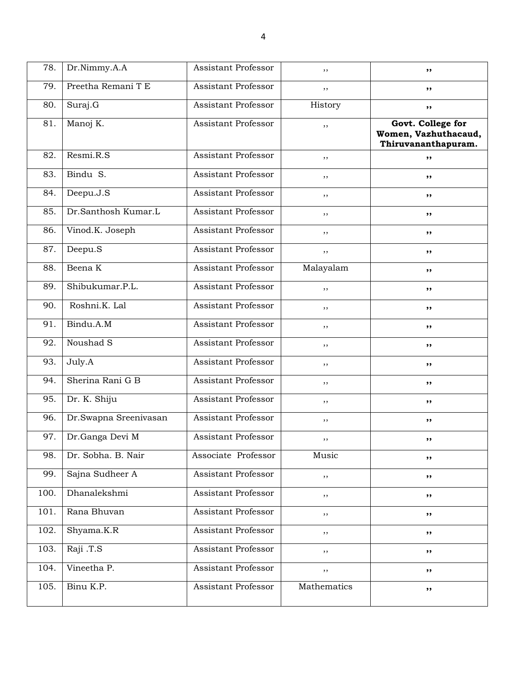| 78.  | Dr.Nimmy.A.A          | Assistant Professor        | ,,          | ,,                                                               |
|------|-----------------------|----------------------------|-------------|------------------------------------------------------------------|
| 79.  | Preetha Remani T E    | Assistant Professor        | ,,          | ,,                                                               |
| 80.  | Suraj.G               | Assistant Professor        | History     | $, \,$                                                           |
| 81.  | Manoj K.              | Assistant Professor        | ,,          | Govt. College for<br>Women, Vazhuthacaud,<br>Thiruvananthapuram. |
| 82.  | Resmi.R.S             | Assistant Professor        | , ,         | ,,                                                               |
| 83.  | Bindu S.              | Assistant Professor        | ,,          | ,,                                                               |
| 84.  | Deepu.J.S             | Assistant Professor        | ,,          | ,,                                                               |
| 85.  | Dr.Santhosh Kumar.L   | Assistant Professor        | ,,          | ,,                                                               |
| 86.  | Vinod.K. Joseph       | Assistant Professor        | ,,          | ,,                                                               |
| 87.  | Deepu.S               | Assistant Professor        | ,,          | ,,                                                               |
| 88.  | Beena K               | Assistant Professor        | Malayalam   | ,,                                                               |
| 89.  | Shibukumar.P.L.       | Assistant Professor        | ,,          | ,,                                                               |
| 90.  | Roshni.K. Lal         | Assistant Professor        | ,,          | ,,                                                               |
| 91.  | Bindu.A.M             | Assistant Professor        | ,,          | ,,                                                               |
| 92.  | Noushad S             | Assistant Professor        | ,,          | ,,                                                               |
| 93.  | July.A                | Assistant Professor        | ,,          | ,,                                                               |
| 94.  | Sherina Rani G B      | Assistant Professor        | ,,          | ,,                                                               |
| 95.  | Dr. K. Shiju          | Assistant Professor        | ,,          | ,,                                                               |
| 96.  | Dr.Swapna Sreenivasan | Assistant Professor        | $, \,$      | ,,                                                               |
| 97.  | Dr.Ganga Devi M       | Assistant Professor        | ,,          | ,,                                                               |
| 98.  | Dr. Sobha. B. Nair    | Associate Professor        | Music       | ,,                                                               |
| 99.  | Sajna Sudheer A       | Assistant Professor        | $, \,$      | ,,                                                               |
| 100. | Dhanalekshmi          | Assistant Professor        | ,,          | ,,                                                               |
| 101. | Rana Bhuvan           | Assistant Professor        | $, \,$      | ,,                                                               |
| 102. | Shyama.K.R            | Assistant Professor        | $, \,$      | ,,                                                               |
| 103. | Raji .T.S             | Assistant Professor        | $, \,$      | ,,                                                               |
| 104. | Vineetha P.           | <b>Assistant Professor</b> | $, \,$      | ,,                                                               |
| 105. | Binu K.P.             | Assistant Professor        | Mathematics | ,,                                                               |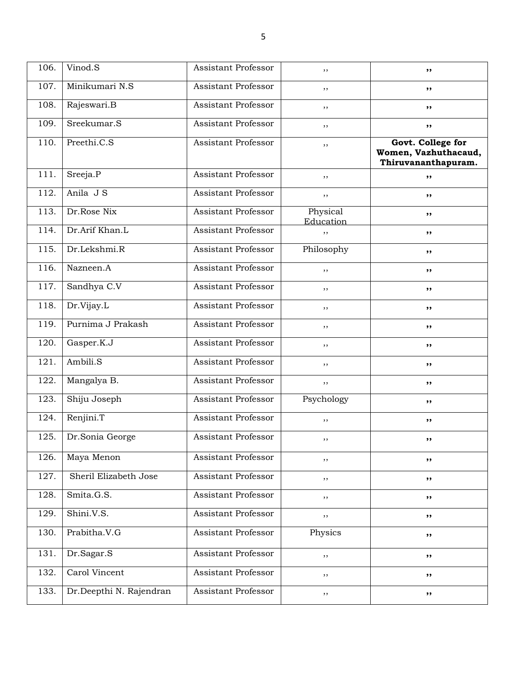| 106. | Vinod.S                 | <b>Assistant Professor</b> | ,,                    | ,,                                                               |
|------|-------------------------|----------------------------|-----------------------|------------------------------------------------------------------|
| 107. | Minikumari N.S          | Assistant Professor        | ,,                    | ,,                                                               |
| 108. | Rajeswari.B             | Assistant Professor        | ,,                    | ,,                                                               |
| 109. | Sreekumar.S             | Assistant Professor        | ,,                    | $, \,$                                                           |
| 110. | Preethi.C.S             | Assistant Professor        | ,,                    | Govt. College for<br>Women, Vazhuthacaud,<br>Thiruvananthapuram. |
| 111. | Sreeja.P                | <b>Assistant Professor</b> | ,,                    | ,,                                                               |
| 112. | Anila J S               | Assistant Professor        | , ,                   | ,,                                                               |
| 113. | Dr.Rose Nix             | <b>Assistant Professor</b> | Physical<br>Education | ,,                                                               |
| 114. | Dr.Arif Khan.L          | Assistant Professor        | ,,                    | ,,                                                               |
| 115. | Dr.Lekshmi.R            | Assistant Professor        | Philosophy            | ,,                                                               |
| 116. | Nazneen.A               | Assistant Professor        | ,,                    | ,,                                                               |
| 117. | Sandhya C.V             | Assistant Professor        | ,,                    | ,,                                                               |
| 118. | Dr.Vijay.L              | Assistant Professor        | ,,                    | ,,                                                               |
| 119. | Purnima J Prakash       | Assistant Professor        | ,,                    | ,,                                                               |
| 120. | Gasper.K.J              | Assistant Professor        | ,,                    | ,,                                                               |
| 121. | Ambili.S                | Assistant Professor        | ,,                    | ,,                                                               |
| 122. | Mangalya B.             | Assistant Professor        | ,,                    | ,,                                                               |
| 123. | Shiju Joseph            | Assistant Professor        | Psychology            | ,,                                                               |
| 124. | Renjini.T               | <b>Assistant Professor</b> | ,,                    | ,,                                                               |
| 125. | Dr.Sonia George         | Assistant Professor        | , ,                   | ,,                                                               |
| 126. | Maya Menon              | Assistant Professor        | $, \,$                | ,,                                                               |
| 127. | Sheril Elizabeth Jose   | Assistant Professor        | ,,                    | ,,                                                               |
| 128. | $Smita.\overline{G.S.}$ | Assistant Professor        | , ,                   | ,,                                                               |
| 129. | Shini.V.S.              | Assistant Professor        | $, \,$                | ,,                                                               |
| 130. | Prabitha.V.G            | <b>Assistant Professor</b> | Physics               | $, \,$                                                           |
| 131. | Dr.Sagar.S              | Assistant Professor        | $, \,$                | ,,                                                               |
| 132. | Carol Vincent           | Assistant Professor        | , ,                   | ,,                                                               |
| 133. | Dr.Deepthi N. Rajendran | Assistant Professor        | ,,                    | ,,                                                               |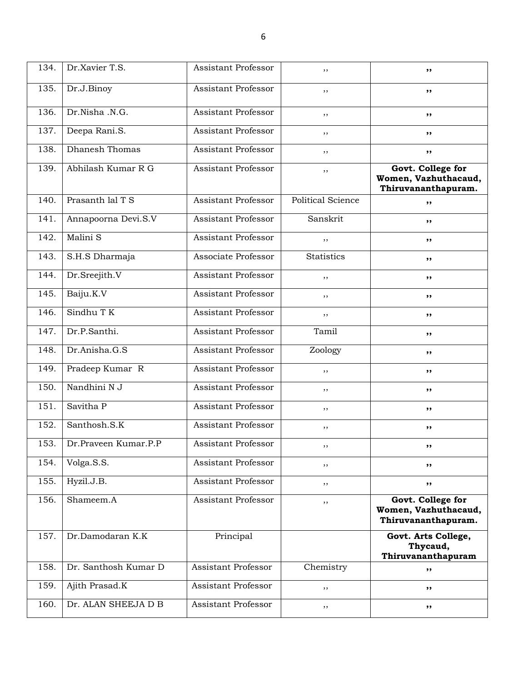| 134. | Dr.Xavier T.S.       | Assistant Professor        | ,,                       | ,,                                                               |
|------|----------------------|----------------------------|--------------------------|------------------------------------------------------------------|
| 135. | Dr.J.Binoy           | Assistant Professor        | ,,                       | ,,                                                               |
| 136. | Dr.Nisha .N.G.       | Assistant Professor        | ,,                       | ,,                                                               |
| 137. | Deepa Rani.S.        | Assistant Professor        | ,,                       | ,,                                                               |
| 138. | Dhanesh Thomas       | Assistant Professor        | ,,                       | ,,                                                               |
| 139. | Abhilash Kumar R G   | <b>Assistant Professor</b> | ,,                       | Govt. College for<br>Women, Vazhuthacaud,<br>Thiruvananthapuram. |
| 140. | Prasanth lal T S     | Assistant Professor        | <b>Political Science</b> | ,,                                                               |
| 141. | Annapoorna Devi.S.V  | Assistant Professor        | Sanskrit                 | ,,                                                               |
| 142. | Malini S             | Assistant Professor        | ,,                       | ,,                                                               |
| 143. | S.H.S Dharmaja       | Associate Professor        | <b>Statistics</b>        | ,,                                                               |
| 144. | Dr.Sreejith.V        | Assistant Professor        | ,,                       | ,,                                                               |
| 145. | Baiju.K.V            | Assistant Professor        | ,,                       | ,,                                                               |
| 146. | Sindhu TK            | Assistant Professor        | ,,                       | ,,                                                               |
| 147. | Dr.P.Santhi.         | Assistant Professor        | Tamil                    | ,,                                                               |
| 148. | Dr.Anisha.G.S        | Assistant Professor        | Zoology                  | ,,                                                               |
| 149. | Pradeep Kumar R      | Assistant Professor        | ,,                       | ,,                                                               |
| 150. | Nandhini N J         | Assistant Professor        | ,,                       | ,,                                                               |
| 151. | Savitha P            | Assistant Professor        | ,,                       | ,,                                                               |
| 152. | Santhosh, S.K        | Assistant Professor        | ,,                       | ,,                                                               |
| 153. | Dr.Praveen Kumar.P.P | Assistant Professor        | ,,                       | ,,                                                               |
| 154. | Volga.S.S.           | <b>Assistant Professor</b> | ,,                       | ,,                                                               |
| 155. | Hyzil.J.B.           | Assistant Professor        | ,,                       | ,,                                                               |
| 156. | Shameem.A            | Assistant Professor        | ,,                       | Govt. College for<br>Women, Vazhuthacaud,<br>Thiruvananthapuram. |
| 157. | Dr.Damodaran K.K     | Principal                  |                          | Govt. Arts College,<br>Thycaud,<br>Thiruvananthapuram            |
| 158. | Dr. Santhosh Kumar D | Assistant Professor        | Chemistry                | ,,                                                               |
| 159. | Ajith Prasad.K       | Assistant Professor        | ,,                       | ,,                                                               |
| 160. | Dr. ALAN SHEEJA D B  | <b>Assistant Professor</b> | ,,                       | ,,                                                               |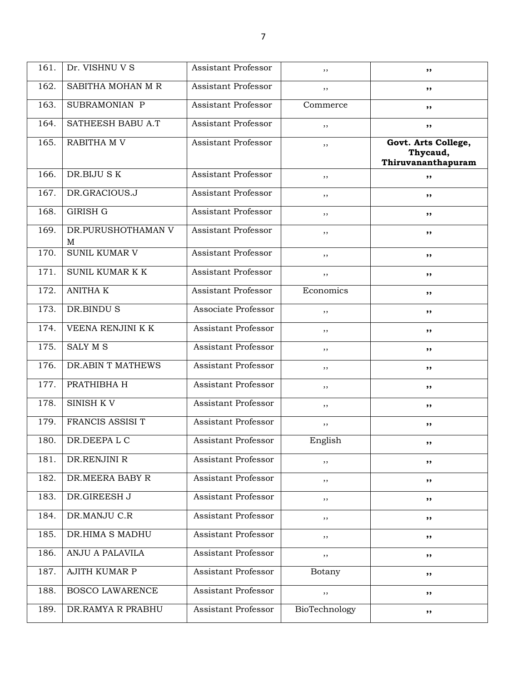| 161. | Dr. VISHNU V S          | <b>Assistant Professor</b> | ,,            | ,,                                                    |
|------|-------------------------|----------------------------|---------------|-------------------------------------------------------|
| 162. | SABITHA MOHAN M R       | Assistant Professor        | ,,            | ,,                                                    |
| 163. | SUBRAMONIAN P           | Assistant Professor        | Commerce      | ,,                                                    |
| 164. | SATHEESH BABU A.T       | Assistant Professor        | , ,           | ,,                                                    |
| 165. | RABITHA M V             | <b>Assistant Professor</b> | ,,            | Govt. Arts College,<br>Thycaud,<br>Thiruvananthapuram |
| 166. | DR.BIJU SK              | <b>Assistant Professor</b> | ,,            | ,,                                                    |
| 167. | DR.GRACIOUS.J           | Assistant Professor        | ,,            | ,,                                                    |
| 168. | <b>GIRISH G</b>         | <b>Assistant Professor</b> | , ,           | ,,                                                    |
| 169. | DR.PURUSHOTHAMAN V<br>M | Assistant Professor        | ,,            | ,,                                                    |
| 170. | <b>SUNIL KUMAR V</b>    | <b>Assistant Professor</b> | ,,            | ,,                                                    |
| 171. | SUNIL KUMAR K K         | <b>Assistant Professor</b> | ,,            | ,,                                                    |
| 172. | <b>ANITHA K</b>         | Assistant Professor        | Economics     | ,,                                                    |
| 173. | DR.BINDU S              | Associate Professor        | ,,            | ,,                                                    |
| 174. | VEENA RENJINI K K       | Assistant Professor        | ,,            | ,,                                                    |
| 175. | <b>SALY M S</b>         | Assistant Professor        | , ,           | ,,                                                    |
| 176. | DR.ABIN T MATHEWS       | Assistant Professor        | ,,            | ,,                                                    |
| 177. | PRATHIBHA H             | Assistant Professor        | , ,           | ,,                                                    |
| 178. | SINISH KV               | <b>Assistant Professor</b> | ,,            | ,,                                                    |
| 179. | FRANCIS ASSISI T        | Assistant Professor        | $, \,$        | ,,                                                    |
| 180. | DR.DEEPALC              | Assistant Professor        | English       | ,,                                                    |
| 181. | DR.RENJINI R            | Assistant Professor        | , ,           | ,,                                                    |
| 182. | DR.MEERA BABY R         | Assistant Professor        | $, \,$        | ,,                                                    |
| 183. | DR.GIREESH J            | Assistant Professor        | $, \,$        | ,,                                                    |
| 184. | DR.MANJU C.R            | Assistant Professor        | , ,           | ,,                                                    |
| 185. | DR.HIMA S MADHU         | Assistant Professor        | ,,            | ,,                                                    |
| 186. | ANJU A PALAVILA         | Assistant Professor        | , ,           | ,,                                                    |
| 187. | AJITH KUMAR P           | Assistant Professor        | Botany        | ,,                                                    |
| 188. | <b>BOSCO LAWARENCE</b>  | Assistant Professor        | $, \,$        | ,,                                                    |
| 189. | DR.RAMYA R PRABHU       | Assistant Professor        | BioTechnology | ,,                                                    |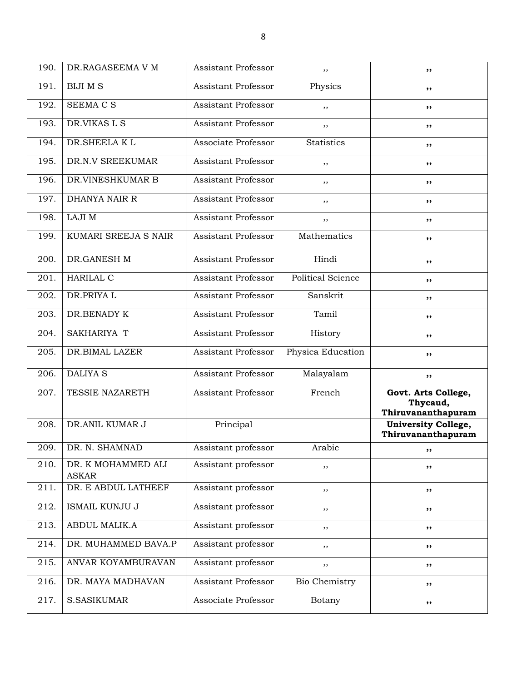| 190. | DR.RAGASEEMA V M                   | <b>Assistant Professor</b> | ,,                       | ,,                                                    |
|------|------------------------------------|----------------------------|--------------------------|-------------------------------------------------------|
| 191. | <b>BIJI M S</b>                    | Assistant Professor        | Physics                  | ,,                                                    |
| 192. | SEEMA C S                          | Assistant Professor        | ,,                       | ,,                                                    |
| 193. | DR.VIKAS L S                       | Assistant Professor        | ,,                       | ,,                                                    |
| 194. | DR.SHEELAKL                        | Associate Professor        | <b>Statistics</b>        | ,,                                                    |
| 195. | DR.N.V SREEKUMAR                   | Assistant Professor        | ,,                       | ,,                                                    |
| 196. | DR.VINESHKUMAR B                   | Assistant Professor        | ,,                       | ,,                                                    |
| 197. | DHANYA NAIR R                      | Assistant Professor        | ,,                       | ,,                                                    |
| 198. | LAJI M                             | Assistant Professor        | ,,                       | ,,                                                    |
| 199. | KUMARI SREEJA S NAIR               | Assistant Professor        | Mathematics              | ,,                                                    |
| 200. | DR.GANESH M                        | Assistant Professor        | Hindi                    | ,,                                                    |
| 201. | <b>HARILAL C</b>                   | Assistant Professor        | <b>Political Science</b> | ,,                                                    |
| 202. | DR.PRIYA L                         | Assistant Professor        | Sanskrit                 | ,,                                                    |
| 203. | DR.BENADY K                        | Assistant Professor        | Tamil                    | ,,                                                    |
| 204. | SAKHARIYA T                        | Assistant Professor        | History                  | ,,                                                    |
| 205. | DR.BIMAL LAZER                     | Assistant Professor        | Physica Education        | ,,                                                    |
| 206. | <b>DALIYA S</b>                    | Assistant Professor        | Malayalam                | ,,                                                    |
| 207. | TESSIE NAZARETH                    | Assistant Professor        | French                   | Govt. Arts College,<br>Thycaud,<br>Thiruvananthapuram |
| 208. | DR.ANIL KUMAR J                    | Principal                  |                          | <b>University College,</b><br>Thiruvananthapuram      |
| 209. | DR. N. SHAMNAD                     | Assistant professor        | Arabic                   | ,,                                                    |
| 210. | DR. K MOHAMMED ALI<br><b>ASKAR</b> | Assistant professor        | ,,                       | ,,                                                    |
| 211. | DR. E ABDUL LATHEEF                | Assistant professor        | ,,                       | ,,                                                    |
| 212. | ISMAIL KUNJU J                     | Assistant professor        | ,,                       | ,,                                                    |
| 213. | ABDUL MALIK.A                      | Assistant professor        | , ,                      | ,,                                                    |
| 214. | DR. MUHAMMED BAVA.P                | Assistant professor        | , ,                      | ,,                                                    |
| 215. | ANVAR KOYAMBURAVAN                 | Assistant professor        | ,,                       | ,,                                                    |
| 216. | DR. MAYA MADHAVAN                  | Assistant Professor        | Bio Chemistry            | ,,                                                    |
| 217. | <b>S.SASIKUMAR</b>                 | Associate Professor        | Botany                   | ,,                                                    |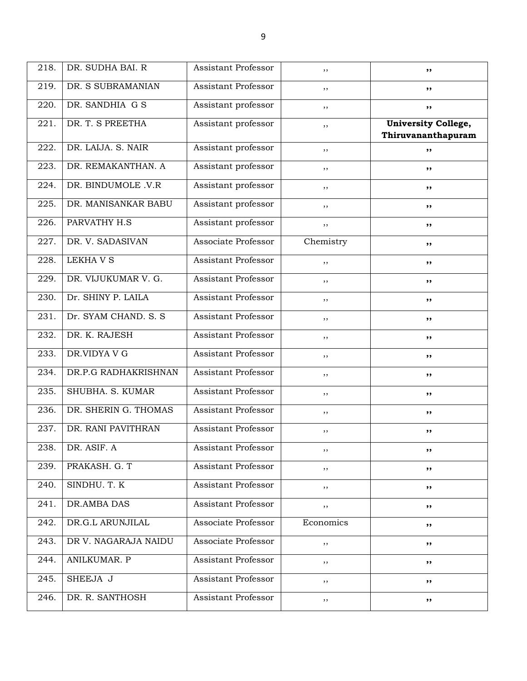| 218. | DR. SUDHA BAI. R      | Assistant Professor        | $, \,$    | ,,                                               |
|------|-----------------------|----------------------------|-----------|--------------------------------------------------|
| 219. | DR. S SUBRAMANIAN     | Assistant Professor        | ,,        | ,,                                               |
| 220. | DR. SANDHIA G S       | Assistant professor        | ,,        | ,,                                               |
| 221. | DR. T. S PREETHA      | Assistant professor        | $, \,$    | <b>University College,</b><br>Thiruvananthapuram |
| 222. | DR. LAIJA. S. NAIR    | Assistant professor        | ,,        | ,,                                               |
| 223. | DR. REMAKANTHAN. A    | Assistant professor        | ,,        | ,,                                               |
| 224. | DR. BINDUMOLE .V.R    | Assistant professor        | ,,        | ,,                                               |
| 225. | DR. MANISANKAR BABU   | Assistant professor        | ,,        | ,,                                               |
| 226. | PARVATHY H.S          | Assistant professor        | $, \,$    | ,,                                               |
| 227. | DR. V. SADASIVAN      | Associate Professor        | Chemistry | ,,                                               |
| 228. | <b>LEKHAVS</b>        | Assistant Professor        | ,,        | ,,                                               |
| 229. | DR. VIJUKUMAR V. G.   | Assistant Professor        | ,,        | ,,                                               |
| 230. | Dr. SHINY P. LAILA    | Assistant Professor        | ,,        | ,,                                               |
| 231. | Dr. SYAM CHAND. S. S. | <b>Assistant Professor</b> | $, \,$    | ,,                                               |
| 232. | DR. K. RAJESH         | Assistant Professor        | , ,       | ,,                                               |
| 233. | DR.VIDYA V G          | Assistant Professor        | ,,        | ,,                                               |
| 234. | DR.P.G RADHAKRISHNAN  | Assistant Professor        | ,,        | ,,                                               |
| 235. | SHUBHA. S. KUMAR      | Assistant Professor        | ,,        | ,,                                               |
| 236. | DR. SHERIN G. THOMAS  | Assistant Professor        | $, \,$    | ,,                                               |
| 237. | DR. RANI PAVITHRAN    | Assistant Professor        | $, \,$    | ,,                                               |
| 238. | DR. ASIF. A           | Assistant Professor        | ,,        | ,,                                               |
| 239. | PRAKASH. G. T         | Assistant Professor        | $, \,$    | ,,                                               |
| 240. | SINDHU. T. K          | Assistant Professor        | $, \,$    | ,,                                               |
| 241. | DR.AMBA DAS           | Assistant Professor        | , ,       | ,,                                               |
| 242. | DR.G.L ARUNJILAL      | Associate Professor        | Economics | ,,                                               |
| 243. | DR V. NAGARAJA NAIDU  | Associate Professor        | $, \,$    | ,,                                               |
| 244. | ANILKUMAR. P          | Assistant Professor        | $, \,$    | ,,                                               |
| 245. | SHEEJA J              | Assistant Professor        | $, \,$    | ,,                                               |
| 246. | DR. R. SANTHOSH       | Assistant Professor        | $, \,$    | ,,                                               |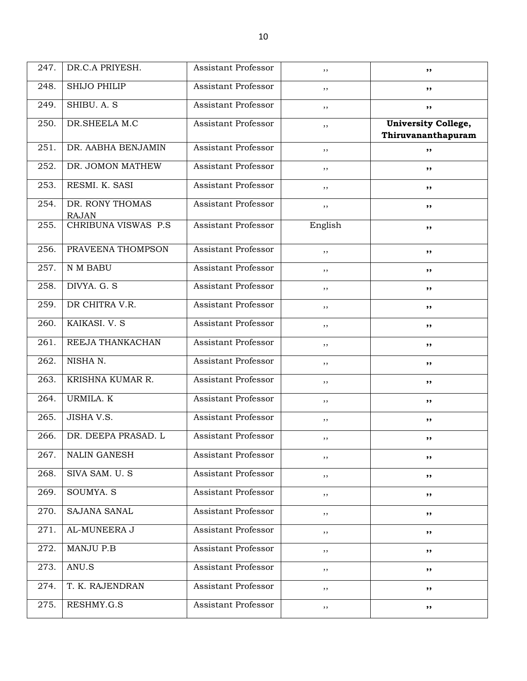| 247. | DR.C.A PRIYESH.                 | Assistant Professor | , ,     | ,,                                               |
|------|---------------------------------|---------------------|---------|--------------------------------------------------|
| 248. | <b>SHIJO PHILIP</b>             | Assistant Professor | ,,      | ,,                                               |
| 249. | SHIBU. A. S                     | Assistant Professor | ,,      | ,,                                               |
| 250. | DR.SHEELA M.C                   | Assistant Professor | ,,      | <b>University College,</b><br>Thiruvananthapuram |
| 251. | DR. AABHA BENJAMIN              | Assistant Professor | ,,      | ,,                                               |
| 252. | DR. JOMON MATHEW                | Assistant Professor | ,,      | ,,                                               |
| 253. | RESMI. K. SASI                  | Assistant Professor | ,,      | ,,                                               |
| 254. | DR. RONY THOMAS<br><b>RAJAN</b> | Assistant Professor | ,,      | ,,                                               |
| 255. | CHRIBUNA VISWAS P.S.            | Assistant Professor | English | ,,                                               |
| 256. | PRAVEENA THOMPSON               | Assistant Professor | ,,      | ,,                                               |
| 257. | N M BABU                        | Assistant Professor | ,,      | ,,                                               |
| 258. | DIVYA. G. S                     | Assistant Professor | ,,      | ,,                                               |
| 259. | DR CHITRA V.R.                  | Assistant Professor | , ,     | ,,                                               |
| 260. | KAIKASI. V. S                   | Assistant Professor | ,,      | ,,                                               |
| 261. | REEJA THANKACHAN                | Assistant Professor | ,,      | ,,                                               |
| 262. | NISHAN.                         | Assistant Professor | ,,      | ,,                                               |
| 263. | KRISHNA KUMAR R.                | Assistant Professor | ,,      | ,,                                               |
| 264. | URMILA. K                       | Assistant Professor | ,,      | ,,                                               |
| 265. | JISHA V.S.                      | Assistant Professor | ,,      | ,,                                               |
| 266. | DR. DEEPA PRASAD. L             | Assistant Professor | ,,      | ,,                                               |
| 267. | <b>NALIN GANESH</b>             | Assistant Professor | , ,     | ,,                                               |
| 268. | SIVA SAM. U. S                  | Assistant Professor | ,,      | ,,                                               |
| 269. | SOUMYA. S                       | Assistant Professor | , ,     | ,,                                               |
| 270. | SAJANA SANAL                    | Assistant Professor | , ,     | ,,                                               |
| 271. | AL-MUNEERA J                    | Assistant Professor | , ,     | ,,                                               |
| 272. | <b>MANJU P.B</b>                | Assistant Professor | ,,      | ,,                                               |
| 273. | ANU.S                           | Assistant Professor | , ,     | ,,                                               |
| 274. | T. K. RAJENDRAN                 | Assistant Professor | , ,     | ,,                                               |
| 275. | RESHMY.G.S                      | Assistant Professor | $, \,$  | ,,                                               |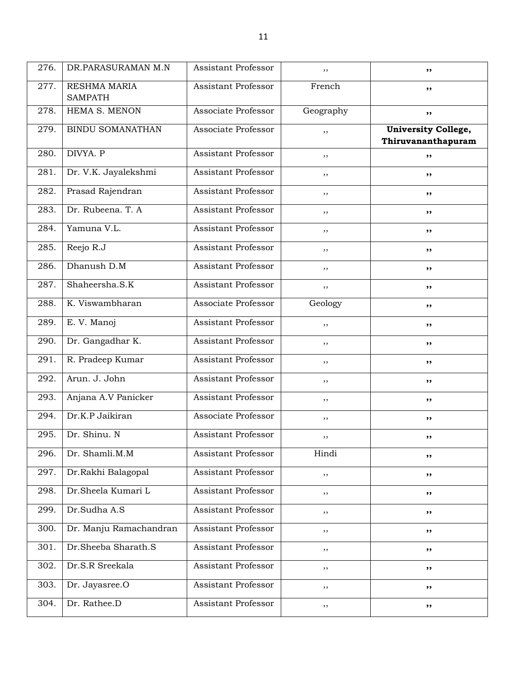| 276. | DR.PARASURAMAN M.N             | Assistant Professor        | $, \,$    | ,,                                               |
|------|--------------------------------|----------------------------|-----------|--------------------------------------------------|
| 277. | RESHMA MARIA<br><b>SAMPATH</b> | Assistant Professor        | French    | ,,                                               |
| 278. | HEMA S. MENON                  | Associate Professor        | Geography | ,,                                               |
| 279. | BINDU SOMANATHAN               | Associate Professor        | ,,        | <b>University College,</b><br>Thiruvananthapuram |
| 280. | DIVYA. P                       | Assistant Professor        | ,,        | ,,                                               |
| 281. | Dr. V.K. Jayalekshmi           | Assistant Professor        | ,,        | ,,                                               |
| 282. | Prasad Rajendran               | <b>Assistant Professor</b> | ,,        | ,,                                               |
| 283. | Dr. Rubeena. T. A.             | Assistant Professor        | ,,        | ,,                                               |
| 284. | Yamuna V.L.                    | Assistant Professor        | ,,        | ,,                                               |
| 285. | Reejo R.J                      | Assistant Professor        | ,,        | ,,                                               |
| 286. | Dhanush D.M                    | Assistant Professor        | $, \,$    | ,,                                               |
| 287. | Shaheersha.S.K                 | <b>Assistant Professor</b> | $, \,$    | ,,                                               |
| 288. | K. Viswambharan                | Associate Professor        | Geology   | ,,                                               |
| 289. | E. V. Manoj                    | Assistant Professor        | ,,        | ,,                                               |
| 290. | Dr. Gangadhar K.               | <b>Assistant Professor</b> | ,,        | ,,                                               |
| 291. | R. Pradeep Kumar               | Assistant Professor        | ,,        | ,,                                               |
| 292. | Arun. J. John                  | Assistant Professor        | ,,        | ,,                                               |
| 293. | Anjana A.V Panicker            | Assistant Professor        | , ,       | ,,                                               |
| 294. | Dr.K.P Jaikiran                | Associate Professor        | ,,        | ,,                                               |
| 295. | Dr. Shinu. N                   | Assistant Professor        | $, \,$    | ,,                                               |
| 296. | Dr. Shamli.M.M                 | Assistant Professor        | Hindi     | ,,                                               |
| 297. | Dr.Rakhi Balagopal             | Assistant Professor        | , ,       | ,,                                               |
| 298. | Dr.Sheela Kumari L             | Assistant Professor        | $, \,$    | ,,                                               |
| 299. | Dr.Sudha A.S                   | Assistant Professor        | , ,       | ,,                                               |
| 300. | Dr. Manju Ramachandran         | Assistant Professor        | , ,       | ,,                                               |
| 301. | Dr.Sheeba Sharath.S            | Assistant Professor        | , ,       | ,,                                               |
| 302. | Dr.S.R Sreekala                | Assistant Professor        | , ,       | ,,                                               |
| 303. | Dr. Jayasree.O                 | Assistant Professor        | , ,       | ,,                                               |
| 304. | Dr. Rathee.D                   | Assistant Professor        | $, \,$    | ,,                                               |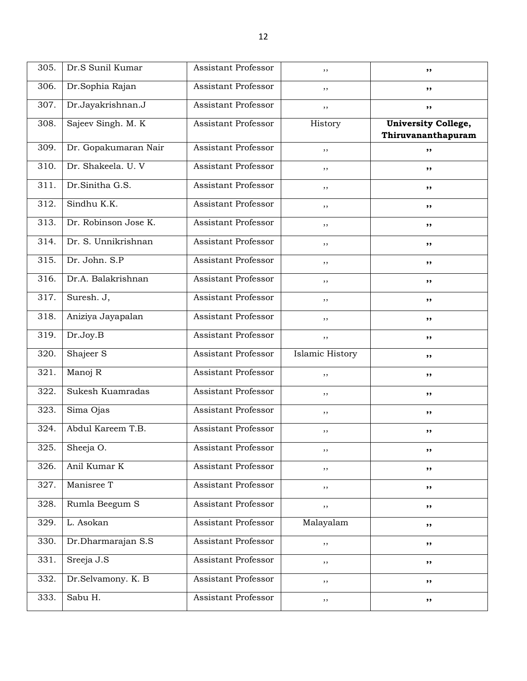| 305. | Dr.S Sunil Kumar     | Assistant Professor        | ,,                     | ,,                                               |
|------|----------------------|----------------------------|------------------------|--------------------------------------------------|
| 306. | Dr.Sophia Rajan      | Assistant Professor        | ,,                     | ,,                                               |
| 307. | Dr.Jayakrishnan.J    | Assistant Professor        | ,,                     | ,,                                               |
| 308. | Sajeev Singh. M. K   | Assistant Professor        | History                | <b>University College,</b><br>Thiruvananthapuram |
| 309. | Dr. Gopakumaran Nair | Assistant Professor        | ,,                     | ,,                                               |
| 310. | Dr. Shakeela. U. V   | Assistant Professor        | ,,                     | ,,                                               |
| 311. | Dr.Sinitha G.S.      | Assistant Professor        | ,,                     | ,,                                               |
| 312. | Sindhu K.K.          | Assistant Professor        | ,,                     | ,,                                               |
| 313. | Dr. Robinson Jose K. | Assistant Professor        | ,,                     | ,,                                               |
| 314. | Dr. S. Unnikrishnan  | Assistant Professor        | ,,                     | ,,                                               |
| 315. | Dr. John. S.P        | Assistant Professor        | ,,                     | ,,                                               |
| 316. | Dr.A. Balakrishnan   | Assistant Professor        | , ,                    | ,,                                               |
| 317. | Suresh. J,           | <b>Assistant Professor</b> | ,,                     | ,,                                               |
| 318. | Aniziya Jayapalan    | Assistant Professor        | ,,                     | ,,                                               |
| 319. | Dr.Joy.B             | Assistant Professor        | ,,                     | ,,                                               |
| 320. | Shajeer S            | Assistant Professor        | <b>Islamic History</b> | ,,                                               |
| 321. | Manoj R              | Assistant Professor        | ,,                     | ,,                                               |
| 322. | Sukesh Kuamradas     | Assistant Professor        | ,,                     | ,,                                               |
| 323. | Sima Ojas            | Assistant Professor        | ,,                     | ,,                                               |
| 324. | Abdul Kareem T.B.    | <b>Assistant Professor</b> | ,,                     | ,,                                               |
| 325. | Sheeja O.            | Assistant Professor        | ,,                     | ,,                                               |
| 326. | Anil Kumar K         | Assistant Professor        | ,,                     | ,,                                               |
| 327. | Manisree T           | Assistant Professor        | ,,                     | ,,                                               |
| 328. | Rumla Beegum S       | Assistant Professor        | , ,                    | ,,                                               |
| 329. | L. Asokan            | Assistant Professor        | Malayalam              | ,,                                               |
| 330. | Dr.Dharmarajan S.S   | Assistant Professor        | , ,                    | ,,                                               |
| 331. | Sreeja J.S           | Assistant Professor        | $, \,$                 | ,,                                               |
| 332. | Dr.Selvamony. K. B   | Assistant Professor        | , ,                    | ,,                                               |
| 333. | Sabu H.              | Assistant Professor        | , ,                    | ,,                                               |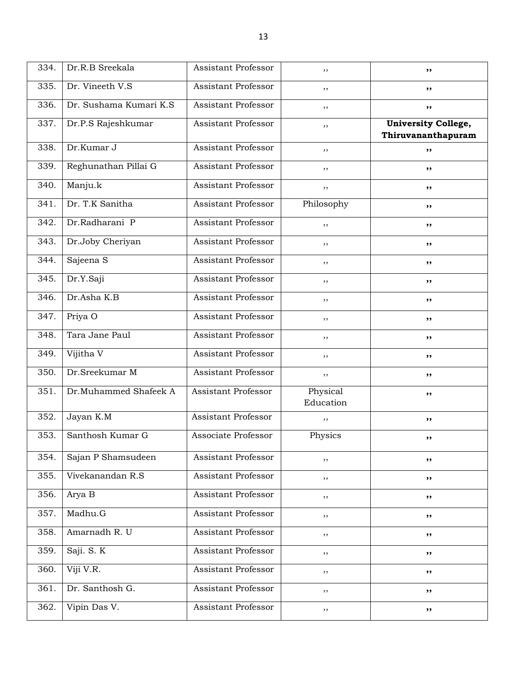| 334. | Dr.R.B Sreekala        | Assistant Professor        | ,,                    | ,,                                               |
|------|------------------------|----------------------------|-----------------------|--------------------------------------------------|
| 335. | Dr. Vineeth V.S        | Assistant Professor        | ,,                    | ,,                                               |
| 336. | Dr. Sushama Kumari K.S | Assistant Professor        | ,,                    | ,,                                               |
| 337. | Dr.P.S Rajeshkumar     | Assistant Professor        | ,,                    | <b>University College,</b><br>Thiruvananthapuram |
| 338. | Dr.Kumar J             | Assistant Professor        | ,,                    | ,,                                               |
| 339. | Reghunathan Pillai G   | Assistant Professor        | ,,                    | ,,                                               |
| 340. | Manju.k                | Assistant Professor        | ,,                    | ,,                                               |
| 341. | Dr. T.K Sanitha        | Assistant Professor        | Philosophy            | ,,                                               |
| 342. | Dr.Radharani P         | Assistant Professor        | ,,                    | ,,                                               |
| 343. | Dr.Joby Cheriyan       | Assistant Professor        | ,,                    | ,,                                               |
| 344. | Sajeena S              | Assistant Professor        | ,,                    | ,,                                               |
| 345. | Dr.Y.Saji              | Assistant Professor        | ,,                    | ,,                                               |
| 346. | Dr.Asha K.B            | Assistant Professor        | ,,                    | ,,                                               |
| 347. | Priya O                | Assistant Professor        | ,,                    | ,,                                               |
| 348. | Tara Jane Paul         | Assistant Professor        | ,,                    | ,,                                               |
| 349. | Vijitha V              | Assistant Professor        | ,,                    | ,,                                               |
| 350. | Dr.Sreekumar M         | <b>Assistant Professor</b> | ,,                    | ,,                                               |
| 351. | Dr.Muhammed Shafeek A  | <b>Assistant Professor</b> | Physical<br>Education | ,,                                               |
| 352. | Jayan K.M              | <b>Assistant Professor</b> | ,,                    | ,,                                               |
| 353. | Santhosh Kumar G       | Associate Professor        | Physics               | ,,                                               |
| 354. | Sajan P Shamsudeen     | Assistant Professor        | ,,                    | ,,                                               |
| 355. | Vivekanandan R.S       | Assistant Professor        | ,,                    | ,,                                               |
| 356. | Arya B                 | Assistant Professor        | ,,                    | ,,                                               |
| 357. | Madhu.G                | Assistant Professor        | ,,                    | ,,                                               |
| 358. | Amarnadh R. U          | <b>Assistant Professor</b> | ,,                    | ,,                                               |
| 359. | Saji. S. K             | Assistant Professor        | ,,                    | ,,                                               |
| 360. | Viji V.R.              | Assistant Professor        | ,,                    | ,,                                               |
| 361. | Dr. Santhosh G.        | Assistant Professor        | ,,                    | ,,                                               |
| 362. | Vipin Das V.           | Assistant Professor        | $, \,$                | ,,                                               |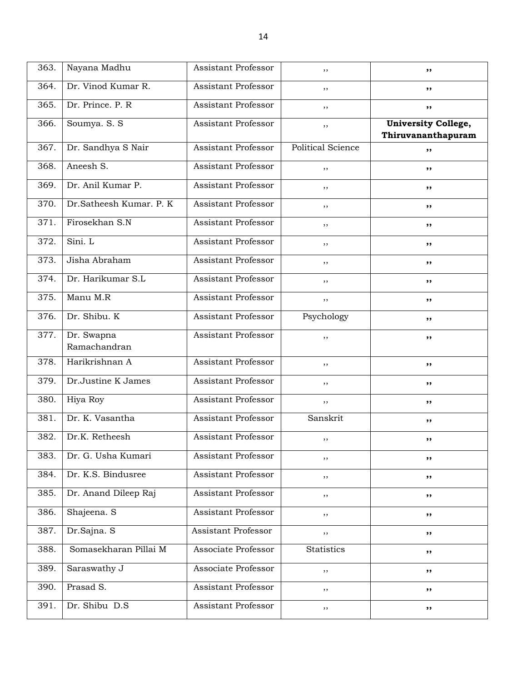| 363. | Nayana Madhu               | Assistant Professor        | ,,                       | ,,                                               |
|------|----------------------------|----------------------------|--------------------------|--------------------------------------------------|
| 364. | Dr. Vinod Kumar R.         | Assistant Professor        | ,,                       | ,,                                               |
| 365. | Dr. Prince. P. R           | Assistant Professor        | ,,                       | ,,                                               |
| 366. | Soumya. S. S               | <b>Assistant Professor</b> | ,,                       | <b>University College,</b><br>Thiruvananthapuram |
| 367. | Dr. Sandhya S Nair         | Assistant Professor        | <b>Political Science</b> | ,,                                               |
| 368. | Aneesh S.                  | Assistant Professor        | ,,                       | ,,                                               |
| 369. | Dr. Anil Kumar P.          | Assistant Professor        | ,,                       | ,,                                               |
| 370. | Dr.Satheesh Kumar. P. K    | Assistant Professor        | ,,                       | ,,                                               |
| 371. | Firosekhan S.N             | Assistant Professor        | ,,                       | ,,                                               |
| 372. | Sini. L                    | Assistant Professor        | ,,                       | ,,                                               |
| 373. | Jisha Abraham              | Assistant Professor        | ,,                       | ,,                                               |
| 374. | Dr. Harikumar S.L          | Assistant Professor        | ,,                       | ,,                                               |
| 375. | Manu M.R                   | Assistant Professor        | ,,                       | ,,                                               |
| 376. | Dr. Shibu. K               | Assistant Professor        | Psychology               | ,,                                               |
| 377. | Dr. Swapna<br>Ramachandran | Assistant Professor        | ,,                       | ,,                                               |
| 378. | Harikrishnan A             | Assistant Professor        | ,,                       | ,,                                               |
| 379. | Dr.Justine K James         | Assistant Professor        | $, \,$                   | ,,                                               |
| 380. | Hiya Roy                   | <b>Assistant Professor</b> | ,,                       | ,,                                               |
| 381. | Dr. K. Vasantha            | Assistant Professor        | Sanskrit                 | ,,                                               |
| 382. | Dr.K. Retheesh             | Assistant Professor        | ,,                       | ,,                                               |
| 383. | Dr. G. Usha Kumari         | Assistant Professor        | $, \,$                   | ,,                                               |
| 384. | Dr. K.S. Bindusree         | Assistant Professor        | $, \,$                   | ,,                                               |
| 385. | Dr. Anand Dileep Raj       | Assistant Professor        | $, \,$                   | ,,                                               |
| 386. | Shajeena. S                | Assistant Professor        | ,,                       | ,,                                               |
| 387. | Dr.Sajna. S                | <b>Assistant Professor</b> | $, \,$                   | ,,                                               |
| 388. | Somasekharan Pillai M      | Associate Professor        | Statistics               | ,,                                               |
| 389. | Saraswathy J               | Associate Professor        | ,,                       | ,,                                               |
| 390. | Prasad S.                  | Assistant Professor        | $, \,$                   | ,,                                               |
| 391. | Dr. Shibu D.S              | Assistant Professor        | $, \,$                   | ,,                                               |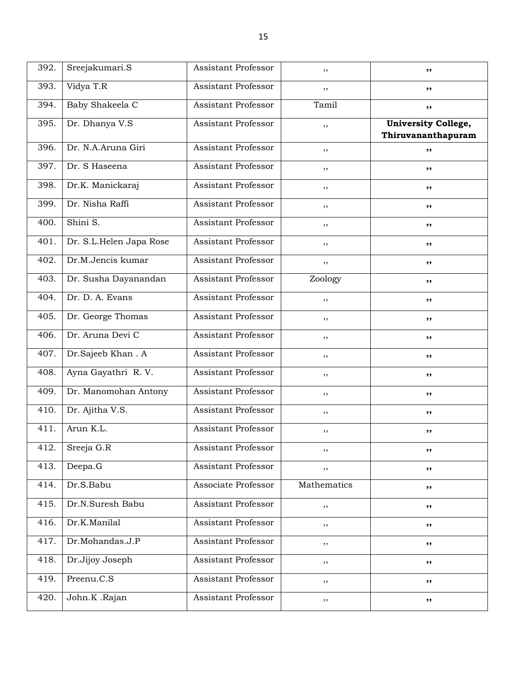| 392. | Sreejakumari.S          | <b>Assistant Professor</b> | ,,          | ,,                                               |
|------|-------------------------|----------------------------|-------------|--------------------------------------------------|
| 393. | Vidya T.R               | Assistant Professor        | ,,          | ,,                                               |
| 394. | Baby Shakeela C         | Assistant Professor        | Tamil       | ,,                                               |
| 395. | Dr. Dhanya V.S          | Assistant Professor        | $, \,$      | <b>University College,</b><br>Thiruvananthapuram |
| 396. | Dr. N.A.Aruna Giri      | Assistant Professor        | ,,          | ,,                                               |
| 397. | Dr. S Haseena           | Assistant Professor        | ,,          | ,,                                               |
| 398. | Dr.K. Manickaraj        | Assistant Professor        | ,,          | ,,                                               |
| 399. | Dr. Nisha Raffi         | Assistant Professor        | $, \,$      | ,,                                               |
| 400. | Shini S.                | Assistant Professor        | ,,          | ,,                                               |
| 401. | Dr. S.L.Helen Japa Rose | Assistant Professor        | ,,          | ,,                                               |
| 402. | Dr.M.Jencis kumar       | Assistant Professor        | ,,          | ,,                                               |
| 403. | Dr. Susha Dayanandan    | Assistant Professor        | Zoology     | ,,                                               |
| 404. | Dr. D. A. Evans         | Assistant Professor        | ,,          | ,,                                               |
| 405. | Dr. George Thomas       | Assistant Professor        | ,,          | ,,                                               |
| 406. | Dr. Aruna Devi C        | Assistant Professor        | , ,         | ,,                                               |
| 407. | Dr.Sajeeb Khan. A       | Assistant Professor        | ,,          | ,,                                               |
| 408. | Ayna Gayathri R.V.      | Assistant Professor        | ,,          | ,,                                               |
| 409. | Dr. Manomohan Antony    | Assistant Professor        | ,,          | ,,                                               |
| 410. | Dr. Ajitha V.S.         | Assistant Professor        | $, \,$      | ,,                                               |
| 411. | Arun K.L.               | Assistant Professor        | , ,         | ,,                                               |
| 412. | Sreeja G.R              | Assistant Professor        | ,,          | ,,                                               |
| 413. | Deepa.G                 | Assistant Professor        | $, \,$      | ,,                                               |
| 414. | Dr.S.Babu               | Associate Professor        | Mathematics | ,,                                               |
| 415. | Dr.N.Suresh Babu        | Assistant Professor        | , ,         | ,,                                               |
| 416. | Dr.K.Manilal            | Assistant Professor        | , ,         | ,,                                               |
| 417. | Dr.Mohandas.J.P         | Assistant Professor        | $, \,$      | ,,                                               |
| 418. | Dr.Jijoy Joseph         | Assistant Professor        | $, \,$      | ,,                                               |
| 419. | Preenu.C.S              | Assistant Professor        | $, \,$      | ,,                                               |
| 420. | John.K .Rajan           | Assistant Professor        | $, \,$      | ,,                                               |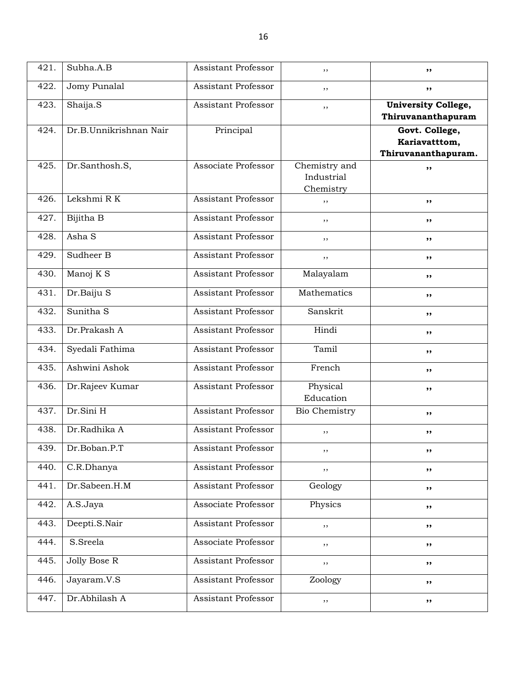| 421. | Subha.A.B              | Assistant Professor        | ,,                                       | ,,                                                     |
|------|------------------------|----------------------------|------------------------------------------|--------------------------------------------------------|
| 422. | Jomy Punalal           | Assistant Professor        | ,,                                       | ,,                                                     |
| 423. | Shaija.S               | Assistant Professor        | ,,                                       | <b>University College,</b><br>Thiruvananthapuram       |
| 424. | Dr.B.Unnikrishnan Nair | Principal                  |                                          | Govt. College,<br>Kariavatttom,<br>Thiruvananthapuram. |
| 425. | Dr.Santhosh.S,         | Associate Professor        | Chemistry and<br>Industrial<br>Chemistry | ,,                                                     |
| 426. | Lekshmi R K            | Assistant Professor        | ,,                                       | ,,                                                     |
| 427. | Bijitha B              | Assistant Professor        | ,,                                       | ,,                                                     |
| 428. | Asha S                 | Assistant Professor        | ,,                                       | ,,                                                     |
| 429. | Sudheer B              | Assistant Professor        | ,,                                       | ,,                                                     |
| 430. | Manoj K S              | Assistant Professor        | Malayalam                                | ,,                                                     |
| 431. | Dr.Baiju S             | Assistant Professor        | Mathematics                              | ,,                                                     |
| 432. | Sunitha <sub>S</sub>   | <b>Assistant Professor</b> | Sanskrit                                 | ,,                                                     |
| 433. | Dr.Prakash A           | Assistant Professor        | Hindi                                    | ,,                                                     |
| 434. | Syedali Fathima        | Assistant Professor        | Tamil                                    | ,,                                                     |
| 435. | Ashwini Ashok          | Assistant Professor        | French                                   | ,,                                                     |
| 436. | Dr.Rajeev Kumar        | Assistant Professor        | Physical<br>Education                    | ,,                                                     |
| 437. | Dr.Sini H              | <b>Assistant Professor</b> | Bio Chemistry                            | ,,                                                     |
| 438. | Dr.Radhika A           | <b>Assistant Professor</b> | ,,                                       | ,,                                                     |
| 439. | Dr.Boban.P.T           | Assistant Professor        | ,,                                       | ,,                                                     |
| 440. | C.R.Dhanya             | Assistant Professor        | ,,                                       | ,,                                                     |
| 441. | Dr.Sabeen.H.M          | Assistant Professor        | Geology                                  | ,,                                                     |
| 442. | A.S.Jaya               | Associate Professor        | Physics                                  | ,,                                                     |
| 443. | Deepti.S.Nair          | <b>Assistant Professor</b> | ,,                                       | ,,                                                     |
| 444. | S.Sreela               | Associate Professor        | ,,                                       | ,,                                                     |
| 445. | Jolly Bose R           | Assistant Professor        | ,,                                       | ,,                                                     |
| 446. | Jayaram.V.S            | Assistant Professor        | Zoology                                  | ,,                                                     |
| 447. | Dr.Abhilash A          | Assistant Professor        | $, \,$                                   | ,,                                                     |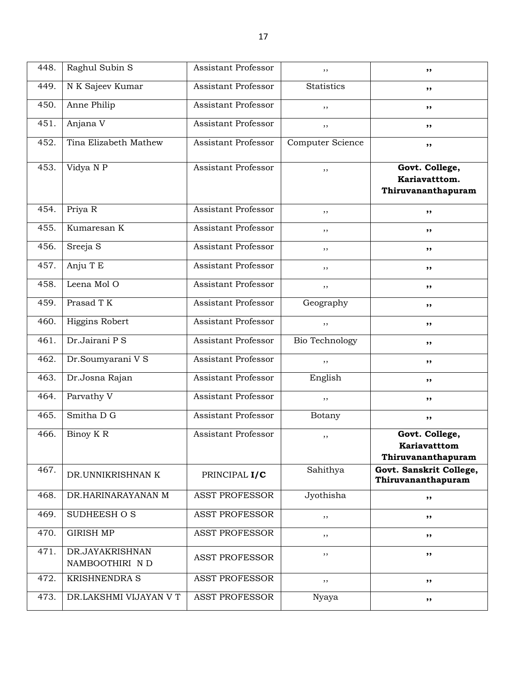| 448. | Raghul Subin S                    | Assistant Professor        | ,,                    | ,,                                                    |
|------|-----------------------------------|----------------------------|-----------------------|-------------------------------------------------------|
| 449. | N K Sajeev Kumar                  | Assistant Professor        | <b>Statistics</b>     | ,,                                                    |
| 450. | Anne Philip                       | Assistant Professor        | ,,                    | ,,                                                    |
| 451. | Anjana V                          | Assistant Professor        | ,,                    | ,,                                                    |
| 452. | Tina Elizabeth Mathew             | Assistant Professor        | Computer Science      | ,,                                                    |
| 453. | Vidya N P                         | Assistant Professor        | ,,                    | Govt. College,<br>Kariavatttom.<br>Thiruvananthapuram |
| 454. | Priya R                           | Assistant Professor        | ,,                    | ,,                                                    |
| 455. | Kumaresan K                       | Assistant Professor        | ,,                    | ,,                                                    |
| 456. | Sreeja S                          | Assistant Professor        | ,,                    | ,,                                                    |
| 457. | Anju T E                          | Assistant Professor        | ,,                    | ,,                                                    |
| 458. | Leena Mol O                       | Assistant Professor        | $, \,$                | ,,                                                    |
| 459. | Prasad T K                        | Assistant Professor        | Geography             | ,,                                                    |
| 460. | Higgins Robert                    | Assistant Professor        | ,,                    | ,,                                                    |
| 461. | Dr.Jairani P S                    | Assistant Professor        | <b>Bio Technology</b> | ,,                                                    |
| 462. | Dr.Soumyarani V S                 | Assistant Professor        | $, \,$                | ,,                                                    |
| 463. | Dr.Josna Rajan                    | Assistant Professor        | English               | ,,                                                    |
| 464. | Parvathy V                        | Assistant Professor        | ,,                    | ,,                                                    |
| 465. | Smitha D G                        | Assistant Professor        | Botany                | ,,                                                    |
| 466. | Binoy K R                         | <b>Assistant Professor</b> | ,,                    | Govt. College,<br>Kariavatttom<br>Thiruvananthapuram  |
| 467. | DR.UNNIKRISHNAN K                 | PRINCIPAL I/C              | Sahithya              | Govt. Sanskrit College,<br>Thiruvananthapuram         |
| 468. | DR.HARINARAYANAN M                | <b>ASST PROFESSOR</b>      | Jyothisha             | ,,                                                    |
| 469. | SUDHEESH O S                      | <b>ASST PROFESSOR</b>      | ,,                    | ,,                                                    |
| 470. | <b>GIRISH MP</b>                  | <b>ASST PROFESSOR</b>      | ,,                    | ,,                                                    |
| 471. | DR.JAYAKRISHNAN<br>NAMBOOTHIRI ND | ASST PROFESSOR             | ,,                    | ,,                                                    |
| 472. | <b>KRISHNENDRA S</b>              | <b>ASST PROFESSOR</b>      | $, \,$                | ,,                                                    |
| 473. | DR.LAKSHMI VIJAYAN V T            | <b>ASST PROFESSOR</b>      | Nyaya                 | ,,                                                    |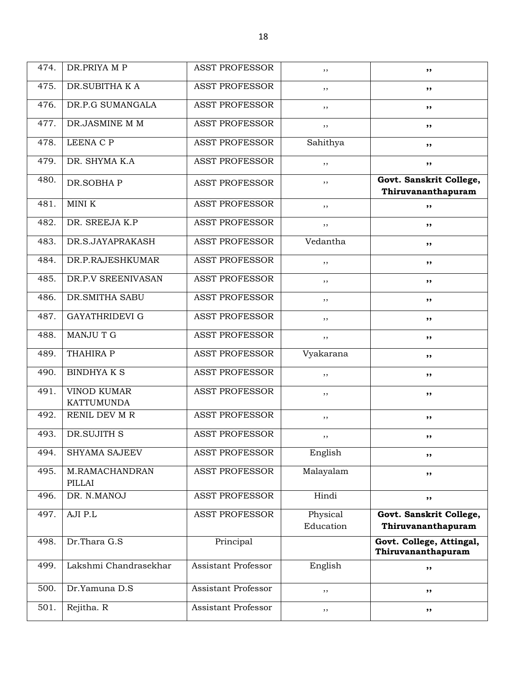| 474. | DR.PRIYA M P                            | <b>ASST PROFESSOR</b>      | ,,                    | ,,                                             |
|------|-----------------------------------------|----------------------------|-----------------------|------------------------------------------------|
| 475. | DR.SUBITHA K A                          | <b>ASST PROFESSOR</b>      | ,,                    | ,,                                             |
| 476. | DR.P.G SUMANGALA                        | <b>ASST PROFESSOR</b>      | ,,                    | ,,                                             |
| 477. | DR.JASMINE M M                          | <b>ASST PROFESSOR</b>      | ,,                    | ,,                                             |
| 478. | LEENA C P                               | <b>ASST PROFESSOR</b>      | Sahithya              | ,,                                             |
| 479. | DR. SHYMA K.A                           | <b>ASST PROFESSOR</b>      | ,,                    | ,,                                             |
| 480. | DR.SOBHAP                               | <b>ASST PROFESSOR</b>      | ,,                    | Govt. Sanskrit College,<br>Thiruvananthapuram  |
| 481. | MINI K                                  | <b>ASST PROFESSOR</b>      | ,,                    | ,,                                             |
| 482. | DR. SREEJA K.P                          | <b>ASST PROFESSOR</b>      | ,,                    | ,,                                             |
| 483. | DR.S.JAYAPRAKASH                        | <b>ASST PROFESSOR</b>      | Vedantha              | ,,                                             |
| 484. | DR.P.RAJESHKUMAR                        | <b>ASST PROFESSOR</b>      | ,,                    | ,,                                             |
| 485. | DR.P.V SREENIVASAN                      | <b>ASST PROFESSOR</b>      | ,,                    | ,,                                             |
| 486. | DR. SMITHA SABU                         | <b>ASST PROFESSOR</b>      | ,,                    | ,,                                             |
| 487. | <b>GAYATHRIDEVI G</b>                   | <b>ASST PROFESSOR</b>      | ,,                    | ,,                                             |
| 488. | <b>MANJUTG</b>                          | <b>ASST PROFESSOR</b>      | ,,                    | ,,                                             |
| 489. | THAHIRA P                               | <b>ASST PROFESSOR</b>      | Vyakarana             | ,,                                             |
| 490. | <b>BINDHYAKS</b>                        | <b>ASST PROFESSOR</b>      | ,,                    | ,,                                             |
| 491. | <b>VINOD KUMAR</b><br><b>KATTUMUNDA</b> | <b>ASST PROFESSOR</b>      | ,,                    | ,,                                             |
| 492. | RENIL DEV M R                           | <b>ASST PROFESSOR</b>      | ,,                    | ,,                                             |
| 493. | DR.SUJITH S                             | <b>ASST PROFESSOR</b>      | , ,                   | ,,                                             |
| 494. | SHYAMA SAJEEV                           | <b>ASST PROFESSOR</b>      | English               | ,,                                             |
| 495. | M.RAMACHANDRAN<br>PILLAI                | <b>ASST PROFESSOR</b>      | Malayalam             | ,,                                             |
| 496. | DR. N.MANOJ                             | <b>ASST PROFESSOR</b>      | Hindi                 | ,,                                             |
| 497. | AJI P.L                                 | <b>ASST PROFESSOR</b>      | Physical<br>Education | Govt. Sanskrit College,<br>Thiruvananthapuram  |
| 498. | Dr.Thara G.S                            | Principal                  |                       | Govt. College, Attingal,<br>Thiruvananthapuram |
| 499. | Lakshmi Chandrasekhar                   | <b>Assistant Professor</b> | English               | ,,                                             |
| 500. | Dr.Yamuna D.S                           | Assistant Professor        | ,,                    | ,,                                             |
| 501. | Rejitha. R                              | Assistant Professor        | ,,                    | ,,                                             |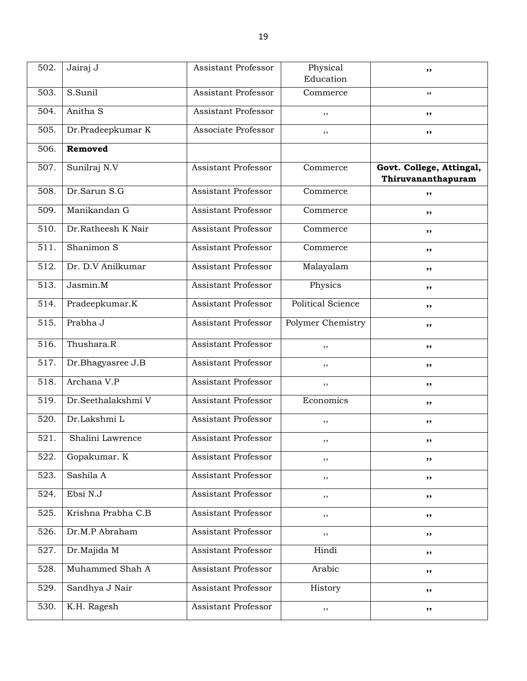| 502. | Jairaj J                     | <b>Assistant Professor</b> | Physical                 | ,,                                             |
|------|------------------------------|----------------------------|--------------------------|------------------------------------------------|
|      |                              |                            | Education                |                                                |
| 503. | $\overline{\text{S.S}}$ unil | Assistant Professor        | Commerce                 | $, \,$                                         |
| 504. | Anitha <sub>S</sub>          | Assistant Professor        | ,,                       | ,,                                             |
| 505. | Dr.Pradeepkumar K            | Associate Professor        | ,,                       | ,,                                             |
| 506. | Removed                      |                            |                          |                                                |
| 507. | Sunilraj N.V                 | <b>Assistant Professor</b> | Commerce                 | Govt. College, Attingal,<br>Thiruvananthapuram |
| 508. | Dr.Sarun S.G                 | <b>Assistant Professor</b> | Commerce                 | ,,                                             |
| 509. | Manikandan G                 | Assistant Professor        | Commerce                 | ,,                                             |
| 510. | Dr.Ratheesh K Nair           | Assistant Professor        | Commerce                 | ,,                                             |
| 511. | Shanimon S                   | Assistant Professor        | Commerce                 | ,,                                             |
| 512. | Dr. D.V Anilkumar            | <b>Assistant Professor</b> | Malayalam                | ,,                                             |
| 513. | Jasmin.M                     | <b>Assistant Professor</b> | Physics                  | ,,                                             |
| 514. | Pradeepkumar.K               | Assistant Professor        | <b>Political Science</b> | ,,                                             |
| 515. | Prabha J                     | Assistant Professor        | Polymer Chemistry        | ,,                                             |
| 516. | Thushara.R                   | <b>Assistant Professor</b> | ,,                       | ,,                                             |
| 517. | Dr.Bhagyasree J.B            | Assistant Professor        | ,,                       | ,,                                             |
| 518. | Archana V.P                  | <b>Assistant Professor</b> | $, \,$                   | ,,                                             |
| 519. | Dr.Seethalakshmi V           | <b>Assistant Professor</b> | Economics                | ,,                                             |
| 520. | Dr.Lakshmi L                 | Assistant Professor        | ,,                       | ,,                                             |
| 521. | Shalini Lawrence             | Assistant Professor        | $, \,$                   | ,,                                             |
| 522. | Gopakumar. K                 | Assistant Professor        | , ,                      | ,,                                             |
| 523. | Sashila A                    | Assistant Professor        | ,,                       | ,,                                             |
| 524. | Ebsi N.J                     | Assistant Professor        | $, \,$                   | ,,                                             |
| 525. | Krishna Prabha C.B           | <b>Assistant Professor</b> | ,,                       | ,,                                             |
| 526. | Dr.M.P Abraham               | Assistant Professor        | $, \,$                   | ,,                                             |
| 527. | Dr.Majida M                  | Assistant Professor        | Hindi                    | ,,                                             |
| 528. | Muhammed Shah A              | Assistant Professor        | Arabic                   | ,,                                             |
| 529. | Sandhya J Nair               | Assistant Professor        | History                  | ,,                                             |
| 530. | K.H. Ragesh                  | Assistant Professor        | $, \,$                   | ,,                                             |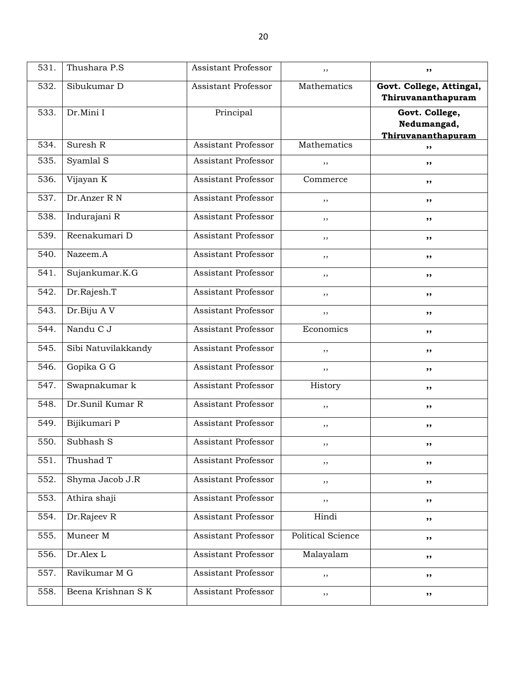| 531. | Thushara P.S        | <b>Assistant Professor</b> | ,,                | ,,                                                  |
|------|---------------------|----------------------------|-------------------|-----------------------------------------------------|
| 532. | Sibukumar D         | <b>Assistant Professor</b> | Mathematics       | Govt. College, Attingal,<br>Thiruvananthapuram      |
| 533. | Dr.Mini I           | Principal                  |                   | Govt. College,<br>Nedumangad,<br>Thiruvananthapuram |
| 534. | Suresh R            | <b>Assistant Professor</b> | Mathematics       | ,,                                                  |
| 535. | Syamlal S           | Assistant Professor        | , ,               | ,,                                                  |
| 536. | Vijayan K           | <b>Assistant Professor</b> | Commerce          | ,,                                                  |
| 537. | Dr.Anzer R N        | <b>Assistant Professor</b> | , ,               | ,,                                                  |
| 538. | Indurajani R        | <b>Assistant Professor</b> | ,,                | ,,                                                  |
| 539. | Reenakumari D       | Assistant Professor        | ,,                | ,,                                                  |
| 540. | Nazeem.A            | Assistant Professor        | ,,                | ,,                                                  |
| 541. | Sujankumar.K.G      | <b>Assistant Professor</b> | , ,               | ,,                                                  |
| 542. | Dr.Rajesh.T         | Assistant Professor        | ,,                | ,,                                                  |
| 543. | Dr.Biju AV          | Assistant Professor        | $, \,$            | ,,                                                  |
| 544. | Nandu C J           | Assistant Professor        | Economics         | ,,                                                  |
| 545. | Sibi Natuvilakkandy | Assistant Professor        | ,,                | ,,                                                  |
| 546. | Gopika G G          | Assistant Professor        | $, \,$            | ,,                                                  |
| 547. | Swapnakumar k       | Assistant Professor        | History           | ,,                                                  |
| 548. | Dr.Sunil Kumar R    | Assistant Professor        | , ,               | ,,                                                  |
| 549. | Bijikumari P        | Assistant Professor        | , ,               | ,,                                                  |
| 550. | Subhash S           | Assistant Professor        | $, \,$            | ,,                                                  |
| 551. | Thushad T           | Assistant Professor        | ,,                | ,,                                                  |
| 552. | Shyma Jacob J.R     | <b>Assistant Professor</b> | , ,               | ,,                                                  |
| 553. | Athira shaji        | Assistant Professor        | ,,                | ,,                                                  |
| 554. | Dr.Rajeev R         | Assistant Professor        | Hindi             | ,,                                                  |
| 555. | Muneer M            | Assistant Professor        | Political Science | ,,                                                  |
| 556. | Dr.Alex L           | Assistant Professor        | Malayalam         | ,,                                                  |
| 557. | Ravikumar M G       | Assistant Professor        | $, \,$            | ,,                                                  |
| 558. | Beena Krishnan S K  | Assistant Professor        | ,,                | ,,                                                  |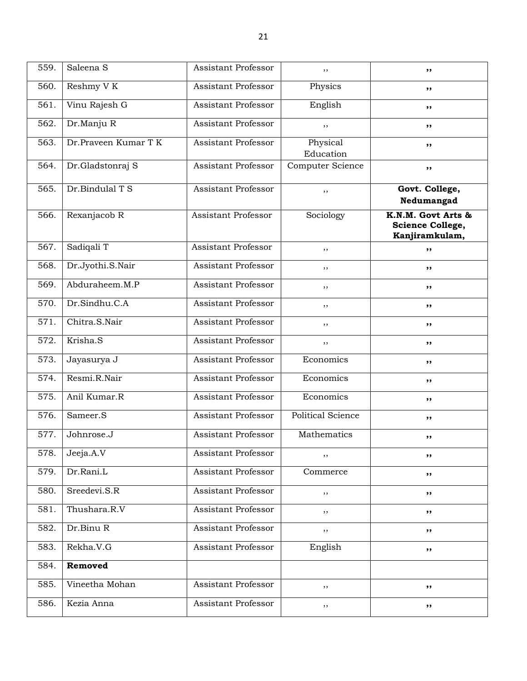| 559. | Saleena <sub>S</sub> | Assistant Professor        | ,,                       | ,,                                                       |
|------|----------------------|----------------------------|--------------------------|----------------------------------------------------------|
| 560. | Reshmy V K           | Assistant Professor        | Physics                  | ,,                                                       |
| 561. | Vinu Rajesh G        | Assistant Professor        | English                  | ,,                                                       |
| 562. | Dr.Manju R           | Assistant Professor        | ,,                       | ,,                                                       |
| 563. | Dr.Praveen Kumar T K | Assistant Professor        | Physical<br>Education    | ,,                                                       |
| 564. | Dr.Gladstonraj S     | <b>Assistant Professor</b> | Computer Science         | ,,                                                       |
| 565. | Dr.Bindulal T S      | <b>Assistant Professor</b> | ,,                       | Govt. College,<br>Nedumangad                             |
| 566. | Rexanjacob R         | Assistant Professor        | Sociology                | K.N.M. Govt Arts &<br>Science College,<br>Kanjiramkulam, |
| 567. | Sadiqali T           | Assistant Professor        | ,,                       | ,,                                                       |
| 568. | Dr.Jyothi.S.Nair     | Assistant Professor        | $, \,$                   | ,,                                                       |
| 569. | Abduraheem.M.P       | Assistant Professor        | ,,                       | ,,                                                       |
| 570. | Dr.Sindhu.C.A        | Assistant Professor        | ,,                       | ,,                                                       |
| 571. | Chitra.S.Nair        | Assistant Professor        | ,,                       | ,,                                                       |
| 572. | Krisha.S             | Assistant Professor        | ,,                       | ,,                                                       |
| 573. | Jayasurya J          | Assistant Professor        | Economics                | ,,                                                       |
| 574. | Resmi.R.Nair         | Assistant Professor        | Economics                | ,,                                                       |
| 575. | Anil Kumar.R         | Assistant Professor        | Economics                | ,,                                                       |
| 576. | Sameer.S             | Assistant Professor        | <b>Political Science</b> | ,,                                                       |
| 577. | Johnrose.J           | Assistant Professor        | Mathematics              | ,,                                                       |
| 578. | Jeeja.A.V            | Assistant Professor        | $, \,$                   | ,,                                                       |
| 579. | Dr.Rani.L            | Assistant Professor        | Commerce                 | ,,                                                       |
| 580. | Sreedevi.S.R         | Assistant Professor        | ,,                       | ,,                                                       |
| 581. | Thushara.R.V         | Assistant Professor        | ,,                       | ,,                                                       |
| 582. | Dr.Binu R            | Assistant Professor        | $, \,$                   | ,,                                                       |
| 583. | Rekha.V.G            | <b>Assistant Professor</b> | English                  | ,,                                                       |
| 584. | Removed              |                            |                          |                                                          |
| 585. | Vineetha Mohan       | Assistant Professor        | $, \,$                   | ,,                                                       |
| 586. | Kezia Anna           | Assistant Professor        | $, \,$                   | ,,                                                       |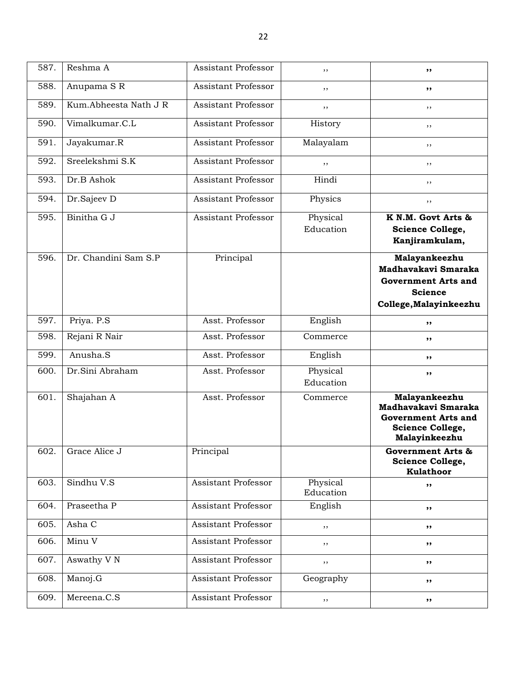| 587. | Reshma A               | <b>Assistant Professor</b> | ,,                    | ,,                                                                                                             |
|------|------------------------|----------------------------|-----------------------|----------------------------------------------------------------------------------------------------------------|
| 588. | Anupama SR             | Assistant Professor        | ,,                    | ,,                                                                                                             |
| 589. | Kum.Abheesta Nath J R  | Assistant Professor        | ,,                    | ,,                                                                                                             |
| 590. | Vimalkumar.C.L         | Assistant Professor        | History               | ,,                                                                                                             |
| 591. | Jayakumar.R            | Assistant Professor        | Malayalam             | ,,                                                                                                             |
| 592. | Sreelekshmi S.K        | Assistant Professor        | ,,                    | ,,                                                                                                             |
| 593. | Dr.B Ashok             | Assistant Professor        | Hindi                 | ,,                                                                                                             |
| 594. | Dr.Sajeev D            | Assistant Professor        | Physics               | ,,                                                                                                             |
| 595. | Binitha G J            | <b>Assistant Professor</b> | Physical<br>Education | K N.M. Govt Arts &<br>Science College,<br>Kanjiramkulam,                                                       |
| 596. | Dr. Chandini Sam S.P   | Principal                  |                       | Malayankeezhu<br>Madhavakavi Smaraka<br><b>Government Arts and</b><br><b>Science</b><br>College, Malayinkeezhu |
| 597. | Priya. P.S             | Asst. Professor            | English               | ,,                                                                                                             |
| 598. | Rejani R Nair          | Asst. Professor            | Commerce              | ,,                                                                                                             |
| 599. | Anusha.S               | Asst. Professor            | English               | ,,                                                                                                             |
| 600. | Dr.Sini Abraham        | Asst. Professor            | Physical<br>Education | ,,                                                                                                             |
| 601. | Shajahan A             | Asst. Professor            | Commerce              | Malayankeezhu<br>Madhavakavi Smaraka<br><b>Government Arts and</b><br>Science College,<br>Malayinkeezhu        |
| 602. | Grace Alice J          | Principal                  |                       | <b>Government Arts &amp;</b><br><b>Science College,</b><br><b>Kulathoor</b>                                    |
| 603. | Sindhu V.S             | <b>Assistant Professor</b> | Physical<br>Education | ,,                                                                                                             |
| 604. | Praseetha P            | Assistant Professor        | English               | ,,                                                                                                             |
| 605. | Asha C                 | Assistant Professor        | ,,                    | ,,                                                                                                             |
| 606. | Minu V                 | Assistant Professor        | $, \,$                | ,,                                                                                                             |
| 607. | Aswathy V <sub>N</sub> | Assistant Professor        | $, \,$                | $, \, \,$                                                                                                      |
| 608. | Manoj.G                | Assistant Professor        | Geography             | ,,                                                                                                             |
| 609. | Mereena.C.S            | Assistant Professor        | $, \,$                | ,,                                                                                                             |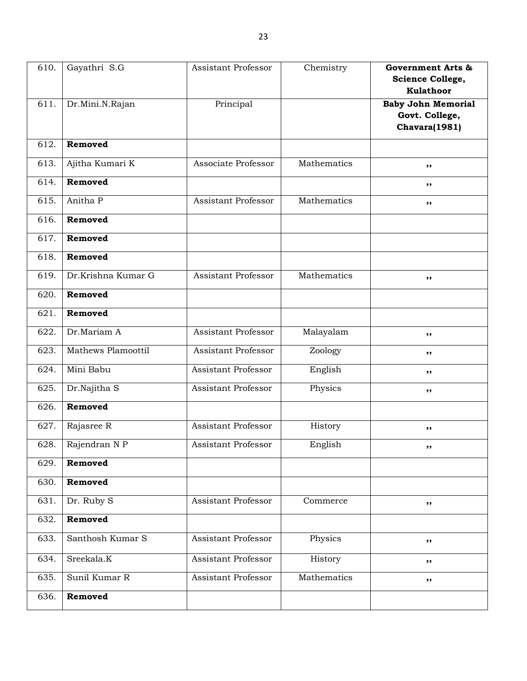| 610. | Gayathri S.G       | <b>Assistant Professor</b> | Chemistry   | <b>Government Arts &amp;</b><br>Science College,<br><b>Kulathoor</b> |
|------|--------------------|----------------------------|-------------|----------------------------------------------------------------------|
| 611. | Dr.Mini.N.Rajan    | Principal                  |             | <b>Baby John Memorial</b><br>Govt. College,<br>Chavara(1981)         |
| 612. | Removed            |                            |             |                                                                      |
| 613. | Ajitha Kumari K    | Associate Professor        | Mathematics | ,,                                                                   |
| 614. | Removed            |                            |             | ,,                                                                   |
| 615. | Anitha P           | Assistant Professor        | Mathematics | ,,                                                                   |
| 616. | Removed            |                            |             |                                                                      |
| 617. | Removed            |                            |             |                                                                      |
| 618. | Removed            |                            |             |                                                                      |
| 619. | Dr.Krishna Kumar G | <b>Assistant Professor</b> | Mathematics | ,,                                                                   |
| 620. | Removed            |                            |             |                                                                      |
| 621. | Removed            |                            |             |                                                                      |
| 622. | Dr.Mariam A        | Assistant Professor        | Malayalam   | ,,                                                                   |
| 623. | Mathews Plamoottil | Assistant Professor        | Zoology     | ,,                                                                   |
| 624. | Mini Babu          | Assistant Professor        | English     | ,,                                                                   |
| 625. | Dr.Najitha S       | Assistant Professor        | Physics     | ,,                                                                   |
| 626. | Removed            |                            |             |                                                                      |
| 627. | Rajasree R         | <b>Assistant Professor</b> | History     | ,,                                                                   |
| 628. | Rajendran N P      | Assistant Professor        | English     | ,,                                                                   |
| 629. | Removed            |                            |             |                                                                      |
| 630. | Removed            |                            |             |                                                                      |
| 631. | Dr. Ruby S         | <b>Assistant Professor</b> | Commerce    | ,,                                                                   |
| 632. | Removed            |                            |             |                                                                      |
| 633. | Santhosh Kumar S   | <b>Assistant Professor</b> | Physics     | $, \,$                                                               |
| 634. | Sreekala.K         | <b>Assistant Professor</b> | History     | ,,                                                                   |
| 635. | Sunil Kumar R      | <b>Assistant Professor</b> | Mathematics | ,,                                                                   |
| 636. | Removed            |                            |             |                                                                      |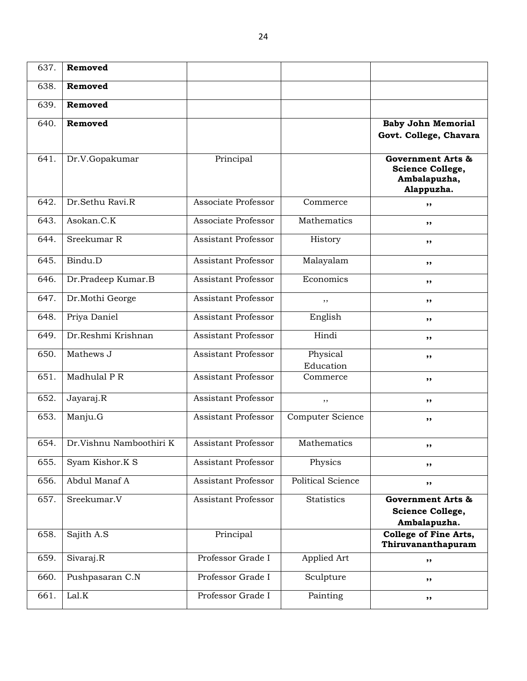| 637. | Removed                 |                            |                       |                                                                                |
|------|-------------------------|----------------------------|-----------------------|--------------------------------------------------------------------------------|
| 638. | Removed                 |                            |                       |                                                                                |
| 639. | Removed                 |                            |                       |                                                                                |
| 640. | Removed                 |                            |                       | <b>Baby John Memorial</b><br>Govt. College, Chavara                            |
| 641. | Dr.V.Gopakumar          | Principal                  |                       | <b>Government Arts &amp;</b><br>Science College,<br>Ambalapuzha,<br>Alappuzha. |
| 642. | Dr.Sethu Ravi.R         | Associate Professor        | Commerce              | ,,                                                                             |
| 643. | Asokan.C.K              | Associate Professor        | Mathematics           | ,,                                                                             |
| 644. | Sreekumar R             | <b>Assistant Professor</b> | History               | ,,                                                                             |
| 645. | Bindu.D                 | Assistant Professor        | Malayalam             | ,,                                                                             |
| 646. | Dr.Pradeep Kumar.B      | <b>Assistant Professor</b> | Economics             | ,,                                                                             |
| 647. | Dr.Mothi George         | <b>Assistant Professor</b> | ,,                    | ,,                                                                             |
| 648. | Priya Daniel            | Assistant Professor        | English               | ,,                                                                             |
| 649. | Dr.Reshmi Krishnan      | Assistant Professor        | Hindi                 | ,,                                                                             |
| 650. | Mathews J               | Assistant Professor        | Physical<br>Education | ,,                                                                             |
| 651. | Madhulal P R            | Assistant Professor        | Commerce              | ,,                                                                             |
| 652. | Jayaraj.R               | Assistant Professor        | ,,                    | ,,                                                                             |
| 653. | Manju.G                 | Assistant Professor        | Computer Science      | ,,                                                                             |
| 654. | Dr.Vishnu Namboothiri K | Assistant Professor        | Mathematics           | ,,                                                                             |
| 655. | Syam Kishor.K S         | Assistant Professor        | Physics               | ,,                                                                             |
| 656. | Abdul Manaf A           | Assistant Professor        | Political Science     | ,,                                                                             |
| 657. | Sreekumar.V             | Assistant Professor        | Statistics            | <b>Government Arts &amp;</b><br>Science College,<br>Ambalapuzha.               |
| 658. | Sajith A.S              | Principal                  |                       | College of Fine Arts,<br>Thiruvananthapuram                                    |
| 659. | Sivaraj.R               | Professor Grade I          | Applied Art           | ,,                                                                             |
| 660. | Pushpasaran C.N         | Professor Grade I          | Sculpture             | ,,                                                                             |
| 661. | Lal.K                   | Professor Grade I          | Painting              | ,,                                                                             |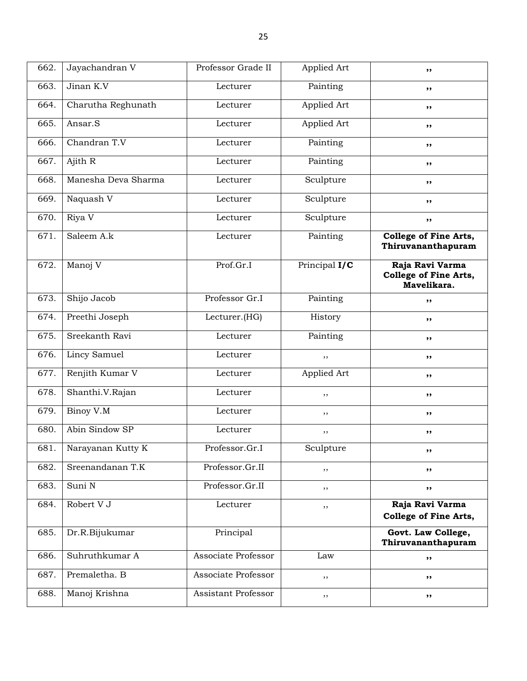| 662. | Jayachandran V      | Professor Grade II  | Applied Art   | ,,                                                      |
|------|---------------------|---------------------|---------------|---------------------------------------------------------|
| 663. | Jinan K.V           | Lecturer            | Painting      | $, \,$                                                  |
| 664. | Charutha Reghunath  | Lecturer            | Applied Art   | ,,                                                      |
| 665. | Ansar.S             | Lecturer            | Applied Art   | $, \,$                                                  |
| 666. | Chandran T.V        | Lecturer            | Painting      | ,,                                                      |
| 667. | Ajith R             | Lecturer            | Painting      | ,,                                                      |
| 668. | Manesha Deva Sharma | Lecturer            | Sculpture     | ,,                                                      |
| 669. | Naquash V           | Lecturer            | Sculpture     | ,,                                                      |
| 670. | Riya V              | Lecturer            | Sculpture     | ,,                                                      |
| 671. | Saleem A.k          | Lecturer            | Painting      | College of Fine Arts,<br>Thiruvananthapuram             |
| 672. | Manoj V             | Prof.Gr.I           | Principal I/C | Raja Ravi Varma<br>College of Fine Arts,<br>Mavelikara. |
| 673. | Shijo Jacob         | Professor Gr.I      | Painting      | ,,                                                      |
| 674. | Preethi Joseph      | Lecturer.(HG)       | History       | ,,                                                      |
| 675. | Sreekanth Ravi      | Lecturer            | Painting      | $, \,$                                                  |
| 676. | Lincy Samuel        | Lecturer            | $, \,$        | ,,                                                      |
| 677. | Renjith Kumar V     | Lecturer            | Applied Art   | ,,                                                      |
| 678. | Shanthi.V.Rajan     | Lecturer            | ,,            | ,,                                                      |
| 679. | Binoy V.M           | Lecturer            | ,,            | ,,                                                      |
| 680. | Abin Sindow SP      | Lecturer            | $, \,$        | ,,                                                      |
| 681. | Narayanan Kutty K   | Professor.Gr.I      | Sculpture     | ,,                                                      |
| 682. | Sreenandanan T.K    | Professor.Gr.II     | ,,            | ,,                                                      |
| 683. | Suni N              | Professor.Gr.II     | ,,            | ,,                                                      |
| 684. | Robert V J          | Lecturer            | $, \,$        | Raja Ravi Varma<br>College of Fine Arts,                |
| 685. | Dr.R.Bijukumar      | Principal           |               | Govt. Law College,<br>Thiruvananthapuram                |
| 686. | Suhruthkumar A      | Associate Professor | Law           | $, \, \,$                                               |
| 687. | Premaletha. B       | Associate Professor | $, \,$        | ,,                                                      |
| 688. | Manoj Krishna       | Assistant Professor | $, \,$        | ,,                                                      |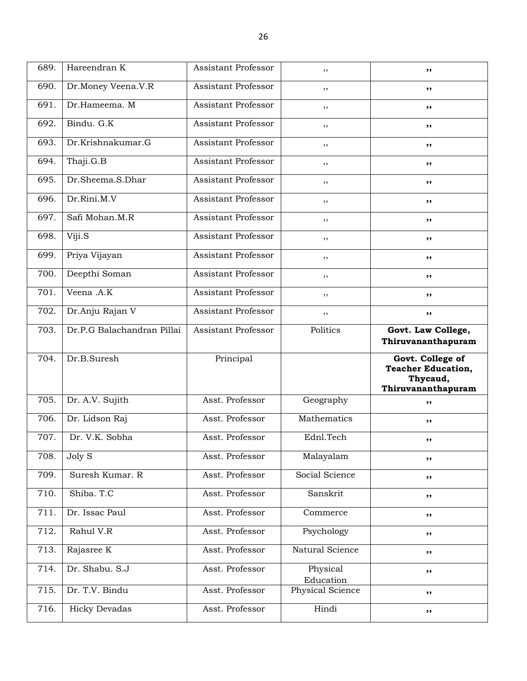| 689. | Hareendran K               | <b>Assistant Professor</b> | ,,                            | ,,                                                        |
|------|----------------------------|----------------------------|-------------------------------|-----------------------------------------------------------|
| 690. | Dr.Money Veena.V.R         | Assistant Professor        | ,,                            | ,,                                                        |
| 691. | Dr.Hameema. M              | Assistant Professor        | ,,                            | ,,                                                        |
| 692. | Bindu. G.K                 | Assistant Professor        | ,,                            | ,,                                                        |
| 693. | Dr.Krishnakumar.G          | Assistant Professor        | ,,                            | ,,                                                        |
| 694. | Thaji.G.B                  | Assistant Professor        | ,,                            | ,,                                                        |
| 695. | Dr.Sheema.S.Dhar           | Assistant Professor        | ,,                            | ,,                                                        |
| 696. | Dr.Rini.M.V                | Assistant Professor        | ,,                            | ,,                                                        |
| 697. | Safi Mohan.M.R             | Assistant Professor        | ,,                            | ,,                                                        |
| 698. | Viji.S                     | Assistant Professor        | ,,                            | ,,                                                        |
| 699. | Priya Vijayan              | Assistant Professor        | ,,                            | ,,                                                        |
| 700. | Deepthi Soman              | <b>Assistant Professor</b> | , ,                           | ,,                                                        |
| 701. | Veena .A.K                 | Assistant Professor        | ,,                            | ,,                                                        |
| 702. | Dr.Anju Rajan V            | Assistant Professor        | ,,                            | ,,                                                        |
| 703. | Dr.P.G Balachandran Pillai | Assistant Professor        | Politics                      | Govt. Law College,                                        |
|      |                            |                            |                               |                                                           |
|      |                            |                            |                               | Thiruvananthapuram                                        |
| 704. | Dr.B.Suresh                | Principal                  |                               | Govt. College of<br><b>Teacher Education,</b><br>Thycaud, |
| 705. | Dr. A.V. Sujith            | Asst. Professor            | Geography                     | Thiruvananthapuram<br>,,                                  |
| 706. | Dr. Lidson Raj             | Asst. Professor            | Mathematics                   | ,,                                                        |
| 707. | Dr. V.K. Sobha             | Asst. Professor            | Ednl.Tech                     | ,,                                                        |
| 708. | Joly S                     | Asst. Professor            | Malayalam                     | ,,                                                        |
| 709. | Suresh Kumar. R            | Asst. Professor            | Social Science                | ,,                                                        |
| 710. | Shiba. T.C                 | Asst. Professor            | Sanskrit                      | $, \,$                                                    |
| 711. | Dr. Issac Paul             | Asst. Professor            | Commerce                      | ,,                                                        |
| 712. | Rahul V.R                  | Asst. Professor            | Psychology                    | ,,                                                        |
| 713. | Rajasree K                 | Asst. Professor            | Natural Science               | ,,                                                        |
| 714. | Dr. Shabu. S.J             | Asst. Professor            | Physical                      | ,,                                                        |
| 715. | Dr. T.V. Bindu             | Asst. Professor            | Education<br>Physical Science | ,,                                                        |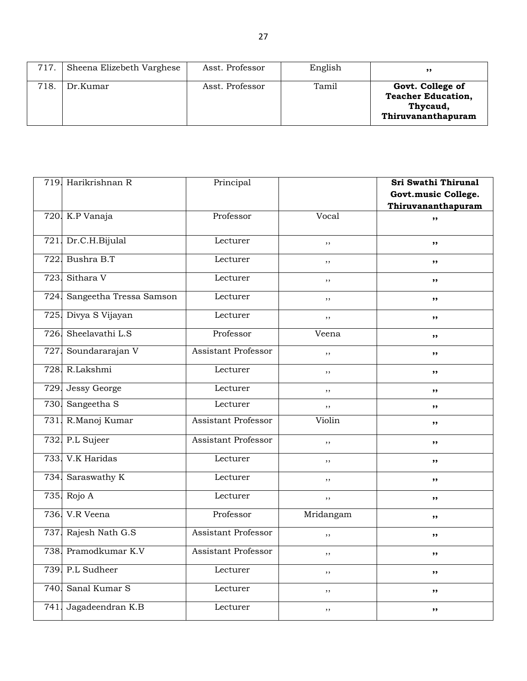| 717. | Sheena Elizebeth Varghese | Asst. Professor | English | ,,                                                                              |
|------|---------------------------|-----------------|---------|---------------------------------------------------------------------------------|
| 718  | Dr.Kumar                  | Asst. Professor | Tamil   | Govt. College of<br><b>Teacher Education,</b><br>Thycaud,<br>Thiruvananthapuram |

|      | 719. Harikrishnan R     | Principal                  |           | Sri Swathi Thirunal |
|------|-------------------------|----------------------------|-----------|---------------------|
|      |                         |                            |           | Govt.music College. |
|      |                         |                            |           | Thiruvananthapuram  |
|      | 720. K.P Vanaja         | Professor                  | Vocal     | ,,                  |
|      | 721. Dr.C.H.Bijulal     | Lecturer                   | ,,        | ,,                  |
| 722. | Bushra B.T              | Lecturer                   | , ,       | ,,                  |
| 723. | Sithara V               | Lecturer                   | ,,        | ,,                  |
| 724. | Sangeetha Tressa Samson | Lecturer                   | ,,        | ,,                  |
| 725. | Divya S Vijayan         | Lecturer                   | ,,        | ,,                  |
| 726. | Sheelavathi L.S         | Professor                  | Veena     | ,,                  |
| 727  | Soundararajan V         | <b>Assistant Professor</b> | ,,        | ,,                  |
| 728. | R.Lakshmi               | Lecturer                   | , ,       | ,,                  |
| 729. | <b>Jessy George</b>     | Lecturer                   | ,,        | ,,                  |
| 730. | Sangeetha S             | Lecturer                   | ,,        | ,,                  |
| 731. | R.Manoj Kumar           | <b>Assistant Professor</b> | Violin    | ,,                  |
|      | 732. P.L Sujeer         | <b>Assistant Professor</b> | ,,        | ,,                  |
|      | 733. V.K Haridas        | Lecturer                   | , ,       | , ,                 |
| 734. | Saraswathy K            | Lecturer                   | ,,        | ,,                  |
| 735. | Rojo A                  | Lecturer                   | , ,       | , ,                 |
| 736. | V.R Veena               | Professor                  | Mridangam | ,,                  |
| 737. | Rajesh Nath G.S         | <b>Assistant Professor</b> | ,,        | ,,                  |
| 738. | Pramodkumar K.V         | <b>Assistant Professor</b> | ,,        | , ,                 |
|      | 739. P.L Sudheer        | Lecturer                   | ,,        | ,,                  |
| 740. | Sanal Kumar S           | Lecturer                   | $, \, ,$  | ,,                  |
| 741. | Jagadeendran K.B        | Lecturer                   | ,,        | ,,                  |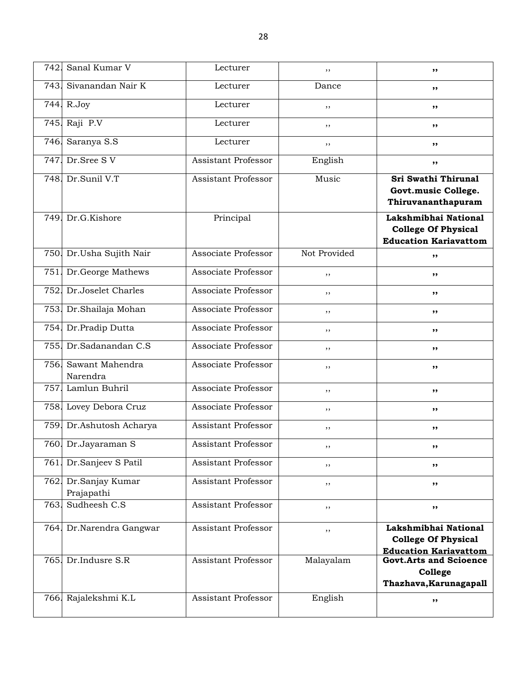| 742. | Sanal Kumar V                    | Lecturer                   | ,,           | ,,                                                                                 |
|------|----------------------------------|----------------------------|--------------|------------------------------------------------------------------------------------|
|      | 743. Sivanandan Nair K           | Lecturer                   | Dance        | ,,                                                                                 |
| 744. | R.Joy                            | Lecturer                   | ,,           | ,,                                                                                 |
| 745. | Raji P.V                         | Lecturer                   | ,,           | ,,                                                                                 |
| 746. | Saranya S.S                      | Lecturer                   | $, \,$       | ,,                                                                                 |
| 747. | Dr.Sree SV                       | <b>Assistant Professor</b> | English      | $, \,$                                                                             |
|      | 748. Dr.Sunil V.T                | Assistant Professor        | Music        | Sri Swathi Thirunal<br>Govt.music College.<br>Thiruvananthapuram                   |
|      | 749. Dr.G.Kishore                | Principal                  |              | Lakshmibhai National<br><b>College Of Physical</b><br><b>Education Kariavattom</b> |
|      | 750. Dr.Usha Sujith Nair         | Associate Professor        | Not Provided | ,,                                                                                 |
|      | 751. Dr. George Mathews          | Associate Professor        | ,,           | ,,                                                                                 |
| 752. | Dr.Joselet Charles               | Associate Professor        | ,,           | ,,                                                                                 |
| 753. | Dr.Shailaja Mohan                | Associate Professor        | ,,           | ,,                                                                                 |
| 754. | Dr.Pradip Dutta                  | Associate Professor        | ,,           | ,,                                                                                 |
| 755. | Dr.Sadanandan C.S                | Associate Professor        | ,,           | ,,                                                                                 |
|      | 756. Sawant Mahendra<br>Narendra | Associate Professor        | ,,           | ,,                                                                                 |
| 757. | Lamlun Buhril                    | Associate Professor        | ,,           | ,,                                                                                 |
|      | 758. Lovey Debora Cruz           | Associate Professor        | ,,           | ,,                                                                                 |
|      | 759. Dr. Ashutosh Acharya        | <b>Assistant Professor</b> | $, \,$       | ,,                                                                                 |
|      | 760. Dr.Jayaraman S              | Assistant Professor        | , ,          | ,,                                                                                 |
|      | 761. Dr. Sanjeev S Patil         | <b>Assistant Professor</b> | ,,           | ,,                                                                                 |
| 762. | Dr.Sanjay Kumar<br>Prajapathi    | <b>Assistant Professor</b> | ,,           | ,,                                                                                 |
| 763. | Sudheesh C.S                     | <b>Assistant Professor</b> | ,,           | ,,                                                                                 |
| 764. | Dr.Narendra Gangwar              | Assistant Professor        | ,,           | Lakshmibhai National<br><b>College Of Physical</b><br><b>Education Kariavattom</b> |
|      | 765. Dr.Indusre S.R              | <b>Assistant Professor</b> | Malayalam    | <b>Govt.Arts and Scioence</b><br>College<br>Thazhava, Karunagapall                 |
| 766. | Rajalekshmi K.L                  | <b>Assistant Professor</b> | English      | ,,                                                                                 |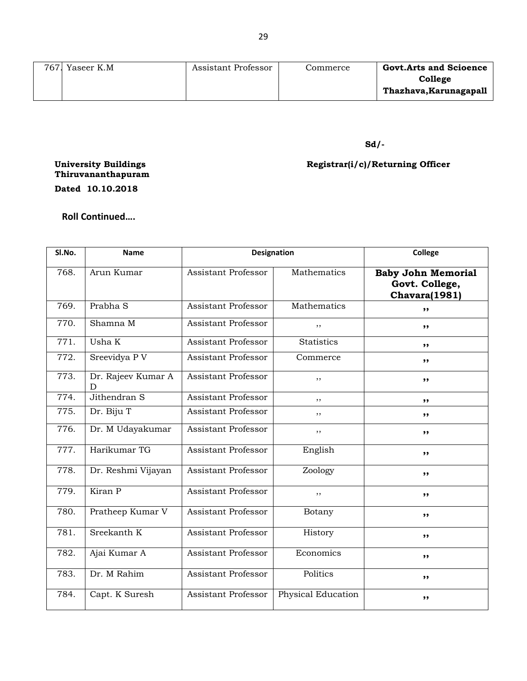| 767. Yaseer K.M | Assistant Professor | Commerce | <b>Govt.Arts and Scioence</b> |
|-----------------|---------------------|----------|-------------------------------|
|                 |                     |          | College                       |
|                 |                     |          | Thazhava, Karunagapall        |
|                 |                     |          |                               |

## **Sd/-**

## **Registrar(i/c)/Returning Officer**

**University Buildings Thiruvananthapuram**

**Dated 10.10.2018**

**Roll Continued….**

| Sl.No. | <b>Name</b>             | <b>Designation</b>         |                           | College                                                      |
|--------|-------------------------|----------------------------|---------------------------|--------------------------------------------------------------|
| 768.   | Arun Kumar              | Assistant Professor        | Mathematics               | <b>Baby John Memorial</b><br>Govt. College,<br>Chavara(1981) |
| 769.   | Prabha S                | <b>Assistant Professor</b> | Mathematics               | ,,                                                           |
| 770.   | Shamna M                | <b>Assistant Professor</b> | ,,                        | ,,                                                           |
| 771.   | Usha K                  | Assistant Professor        | <b>Statistics</b>         | ,,                                                           |
| 772.   | Sreevidya P V           | Assistant Professor        | Commerce                  | ,,                                                           |
| 773.   | Dr. Rajeev Kumar A<br>D | <b>Assistant Professor</b> | ,,                        | ,,                                                           |
| 774.   | Jithendran S            | <b>Assistant Professor</b> | , ,                       | ,,                                                           |
| 775.   | Dr. Biju T              | <b>Assistant Professor</b> | ,,                        | ,,                                                           |
| 776.   | Dr. M Udayakumar        | Assistant Professor        | ,,                        | ,,                                                           |
| 777.   | Harikumar TG            | <b>Assistant Professor</b> | English                   | ,,                                                           |
| 778.   | Dr. Reshmi Vijayan      | Assistant Professor        | Zoology                   | ,,                                                           |
| 779.   | Kiran P                 | Assistant Professor        | ,,                        | ,,                                                           |
| 780.   | Pratheep Kumar V        | <b>Assistant Professor</b> | Botany                    | ,,                                                           |
| 781.   | Sreekanth K             | <b>Assistant Professor</b> | History                   | ,,                                                           |
| 782.   | Ajai Kumar A            | <b>Assistant Professor</b> | Economics                 | ,,                                                           |
| 783.   | Dr. M Rahim             | Assistant Professor        | Politics                  | ,,                                                           |
| 784.   | Capt. K Suresh          | <b>Assistant Professor</b> | <b>Physical Education</b> | ,,                                                           |